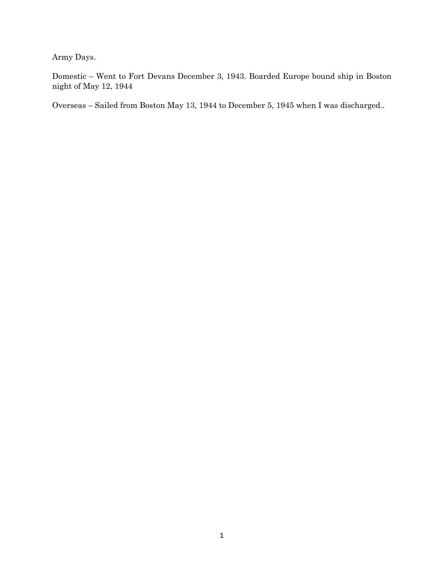Army Days.

Domestic – Went to Fort Devans December 3, 1943. Boarded Europe bound ship in Boston night of May 12, 1944

Overseas – Sailed from Boston May 13, 1944 to December 5, 1945 when I was discharged..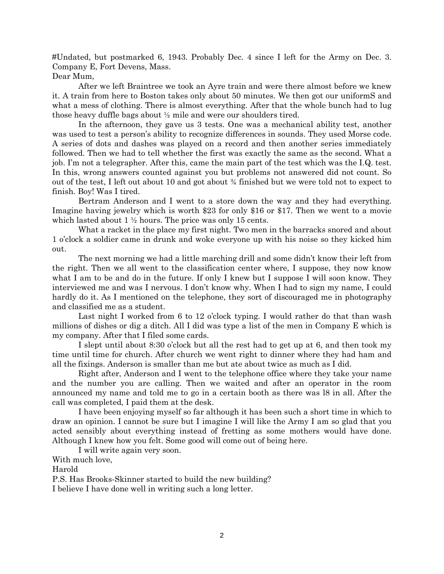#Undated, but postmarked 6, 1943. Probably Dec. 4 since I left for the Army on Dec. 3. Company E, Fort Devens, Mass.

Dear Mum,

After we left Braintree we took an Ayre train and were there almost before we knew it. A train from here to Boston takes only about 50 minutes. We then got our uniformS and what a mess of clothing. There is almost everything. After that the whole bunch had to lug those heavy duffle bags about ½ mile and were our shoulders tired.

In the afternoon, they gave us 3 tests. One was a mechanical ability test, another was used to test a person's ability to recognize differences in sounds. They used Morse code. A series of dots and dashes was played on a record and then another series immediately followed. Then we had to tell whether the first was exactly the same as the second. What a job. I'm not a telegrapher. After this, came the main part of the test which was the I.Q. test. In this, wrong answers counted against you but problems not answered did not count. So out of the test, I left out about 10 and got about ¾ finished but we were told not to expect to finish. Boy! Was I tired.

Bertram Anderson and I went to a store down the way and they had everything. Imagine having jewelry which is worth \$23 for only \$16 or \$17. Then we went to a movie which lasted about  $1 \frac{1}{2}$  hours. The price was only 15 cents.

What a racket in the place my first night. Two men in the barracks snored and about 1 o'clock a soldier came in drunk and woke everyone up with his noise so they kicked him out.

The next morning we had a little marching drill and some didn't know their left from the right. Then we all went to the classification center where, I suppose, they now know what I am to be and do in the future. If only I knew but I suppose I will soon know. They interviewed me and was I nervous. I don't know why. When I had to sign my name, I could hardly do it. As I mentioned on the telephone, they sort of discouraged me in photography and classified me as a student.

Last night I worked from 6 to 12 o'clock typing. I would rather do that than wash millions of dishes or dig a ditch. All I did was type a list of the men in Company E which is my company. After that I filed some cards.

I slept until about 8:30 o'clock but all the rest had to get up at 6, and then took my time until time for church. After church we went right to dinner where they had ham and all the fixings. Anderson is smaller than me but ate about twice as much as I did.

Right after, Anderson and I went to the telephone office where they take your name and the number you are calling. Then we waited and after an operator in the room announced my name and told me to go in a certain booth as there was l8 in all. After the call was completed, I paid them at the desk.

I have been enjoying myself so far although it has been such a short time in which to draw an opinion. I cannot be sure but I imagine I will like the Army I am so glad that you acted sensibly about everything instead of fretting as some mothers would have done. Although I knew how you felt. Some good will come out of being here.

I will write again very soon.

With much love,

Harold

P.S. Has Brooks-Skinner started to build the new building?

I believe I have done well in writing such a long letter.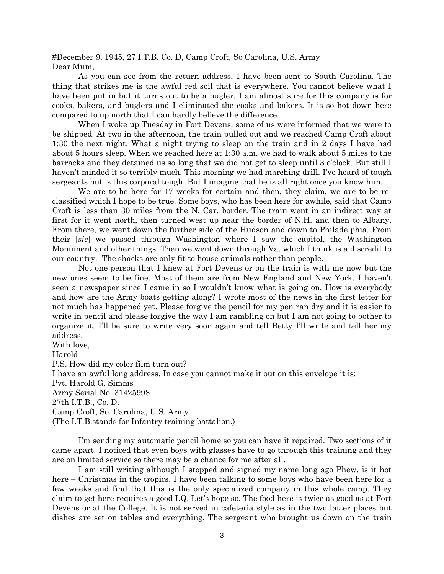#December 9, 1945, 27 I.T.B. Co. D, Camp Croft, So Carolina, U.S. Army Dear Mum,

As you can see from the return address, I have been sent to South Carolina. The thing that strikes me is the awful red soil that is everywhere. You cannot believe what I have been put in but it turns out to be a bugler. I am almost sure for this company is for cooks, bakers, and buglers and I eliminated the cooks and bakers. It is so hot down here compared to up north that I can hardly believe the difference.

When I woke up Tuesday in Fort Devens, some of us were informed that we were to be shipped. At two in the afternoon, the train pulled out and we reached Camp Croft about 1:30 the next night. What a night trying to sleep on the train and in 2 days I have had about 5 hours sleep. When we reached here at 1:30 a.m. we had to walk about 5 miles to the barracks and they detained us so long that we did not get to sleep until 3 o'clock. But still I haven't minded it so terribly much. This morning we had marching drill. I've heard of tough sergeants but is this corporal tough. But I imagine that he is all right once you know him.

We are to be here for 17 weeks for certain and then, they claim, we are to be reclassified which I hope to be true. Some boys, who has been here for awhile, said that Camp Croft is less than 30 miles from the N. Car. border. The train went in an indirect way at first for it went north, then turned west up near the border of N.H. and then to Albany. From there, we went down the further side of the Hudson and down to Philadelphia. From their [*sic*] we passed through Washington where I saw the capitol, the Washington Monument and other things. Then we went down through Va. which I think is a discredit to our country. The shacks are only fit to house animals rather than people.

Not one person that I knew at Fort Devens or on the train is with me now but the new ones seem to be fine. Most of them are from New England and New York. I haven't seen a newspaper since I came in so I wouldn't know what is going on. How is everybody and how are the Army boats getting along? I wrote most of the news in the first letter for not much has happened yet. Please forgive the pencil for my pen ran dry and it is easier to write in pencil and please forgive the way I am rambling on but I am not going to bother to organize it. I'll be sure to write very soon again and tell Betty I'll write and tell her my address.

With love, Harold P.S. How did my color film turn out? I have an awful long address. In case you cannot make it out on this envelope it is: Pvt. Harold G. Simms Army Serial No. 31425998 27th I.T.B., Co. D. Camp Croft, So. Carolina, U.S. Army (The I.T.B.stands for Infantry training battalion.)

I'm sending my automatic pencil home so you can have it repaired. Two sections of it came apart. I noticed that even boys with glasses have to go through this training and they are on limited service so there may be a chance for me after all.

I am still writing although I stopped and signed my name long ago Phew, is it hot here – Christmas in the tropics. I have been talking to some boys who have been here for a few weeks and find that this is the only specialized company in this whole camp. They claim to get here requires a good I.Q. Let's hope so. The food here is twice as good as at Fort Devens or at the College. It is not served in cafeteria style as in the two latter places but dishes are set on tables and everything. The sergeant who brought us down on the train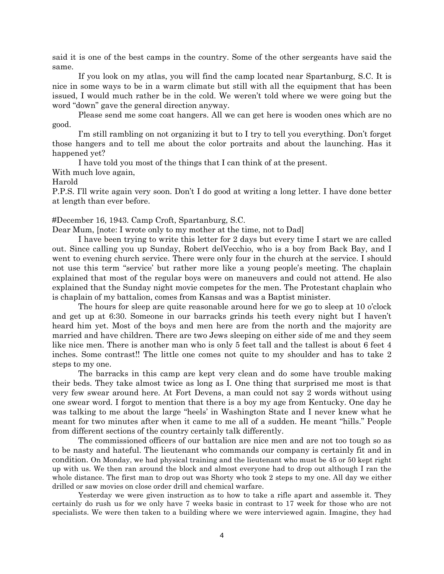said it is one of the best camps in the country. Some of the other sergeants have said the same.

If you look on my atlas, you will find the camp located near Spartanburg, S.C. It is nice in some ways to be in a warm climate but still with all the equipment that has been issued, I would much rather be in the cold. We weren't told where we were going but the word "down" gave the general direction anyway.

Please send me some coat hangers. All we can get here is wooden ones which are no good.

I'm still rambling on not organizing it but to I try to tell you everything. Don't forget those hangers and to tell me about the color portraits and about the launching. Has it happened yet?

I have told you most of the things that I can think of at the present.

With much love again,

#### Harold

P.P.S. I'll write again very soon. Don't I do good at writing a long letter. I have done better at length than ever before.

#### #December 16, 1943. Camp Croft, Spartanburg, S.C.

Dear Mum, [note: I wrote only to my mother at the time, not to Dad]

I have been trying to write this letter for 2 days but every time I start we are called out. Since calling you up Sunday, Robert delVecchio, who is a boy from Back Bay, and I went to evening church service. There were only four in the church at the service. I should not use this term "service' but rather more like a young people's meeting. The chaplain explained that most of the regular boys were on maneuvers and could not attend. He also explained that the Sunday night movie competes for the men. The Protestant chaplain who is chaplain of my battalion, comes from Kansas and was a Baptist minister.

The hours for sleep are quite reasonable around here for we go to sleep at 10 o'clock and get up at 6:30. Someone in our barracks grinds his teeth every night but I haven't heard him yet. Most of the boys and men here are from the north and the majority are married and have children. There are two Jews sleeping on either side of me and they seem like nice men. There is another man who is only 5 feet tall and the tallest is about 6 feet 4 inches. Some contrast!! The little one comes not quite to my shoulder and has to take 2 steps to my one.

The barracks in this camp are kept very clean and do some have trouble making their beds. They take almost twice as long as I. One thing that surprised me most is that very few swear around here. At Fort Devens, a man could not say 2 words without using one swear word. I forgot to mention that there is a boy my age from Kentucky. One day he was talking to me about the large "heels' in Washington State and I never knew what he meant for two minutes after when it came to me all of a sudden. He meant "hills." People from different sections of the country certainly talk differently.

The commissioned officers of our battalion are nice men and are not too tough so as to be nasty and hateful. The lieutenant who commands our company is certainly fit and in condition. On Monday, we had physical training and the lieutenant who must be 45 or 50 kept right up with us. We then ran around the block and almost everyone had to drop out although I ran the whole distance. The first man to drop out was Shorty who took 2 steps to my one. All day we either drilled or saw movies on close order drill and chemical warfare.

Yesterday we were given instruction as to how to take a rifle apart and assemble it. They certainly do rush us for we only have 7 weeks basic in contrast to 17 week for those who are not specialists. We were then taken to a building where we were interviewed again. Imagine, they had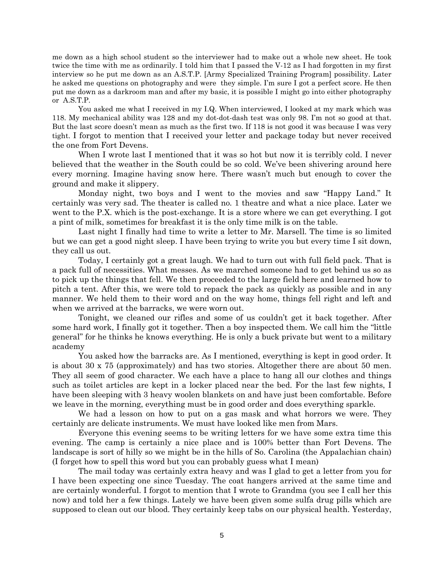me down as a high school student so the interviewer had to make out a whole new sheet. He took twice the time with me as ordinarily. I told him that I passed the V-12 as I had forgotten in my first interview so he put me down as an A.S.T.P. [Army Specialized Training Program] possibility. Later he asked me questions on photography and were they simple. I'm sure I got a perfect score. He then put me down as a darkroom man and after my basic, it is possible I might go into either photography or A.S.T.P.

You asked me what I received in my I.Q. When interviewed, I looked at my mark which was 118. My mechanical ability was 128 and my dot-dot-dash test was only 98. I'm not so good at that. But the last score doesn't mean as much as the first two. If 118 is not good it was because I was very tight. I forgot to mention that I received your letter and package today but never received the one from Fort Devens.

When I wrote last I mentioned that it was so hot but now it is terribly cold. I never believed that the weather in the South could be so cold. We've been shivering around here every morning. Imagine having snow here. There wasn't much but enough to cover the ground and make it slippery.

Monday night, two boys and I went to the movies and saw "Happy Land." It certainly was very sad. The theater is called no. 1 theatre and what a nice place. Later we went to the P.X. which is the post-exchange. It is a store where we can get everything. I got a pint of milk, sometimes for breakfast it is the only time milk is on the table.

Last night I finally had time to write a letter to Mr. Marsell. The time is so limited but we can get a good night sleep. I have been trying to write you but every time I sit down, they call us out.

Today, I certainly got a great laugh. We had to turn out with full field pack. That is a pack full of necessities. What messes. As we marched someone had to get behind us so as to pick up the things that fell. We then proceeded to the large field here and learned how to pitch a tent. After this, we were told to repack the pack as quickly as possible and in any manner. We held them to their word and on the way home, things fell right and left and when we arrived at the barracks, we were worn out.

Tonight, we cleaned our rifles and some of us couldn't get it back together. After some hard work, I finally got it together. Then a boy inspected them. We call him the "little general" for he thinks he knows everything. He is only a buck private but went to a military academy

You asked how the barracks are. As I mentioned, everything is kept in good order. It is about 30 x 75 (approximately) and has two stories. Altogether there are about 50 men. They all seem of good character. We each have a place to hang all our clothes and things such as toilet articles are kept in a locker placed near the bed. For the last few nights, I have been sleeping with 3 heavy woolen blankets on and have just been comfortable. Before we leave in the morning, everything must be in good order and does everything sparkle.

We had a lesson on how to put on a gas mask and what horrors we were. They certainly are delicate instruments. We must have looked like men from Mars.

Everyone this evening seems to be writing letters for we have some extra time this evening. The camp is certainly a nice place and is 100% better than Fort Devens. The landscape is sort of hilly so we might be in the hills of So. Carolina (the Appalachian chain) (I forget how to spell this word but you can probably guess what I mean)

The mail today was certainly extra heavy and was I glad to get a letter from you for I have been expecting one since Tuesday. The coat hangers arrived at the same time and are certainly wonderful. I forgot to mention that I wrote to Grandma (you see I call her this now) and told her a few things. Lately we have been given some sulfa drug pills which are supposed to clean out our blood. They certainly keep tabs on our physical health. Yesterday,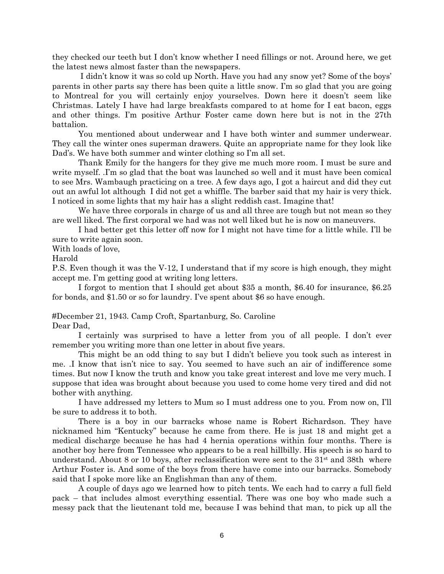they checked our teeth but I don't know whether I need fillings or not. Around here, we get the latest news almost faster than the newspapers.

I didn't know it was so cold up North. Have you had any snow yet? Some of the boys' parents in other parts say there has been quite a little snow. I'm so glad that you are going to Montreal for you will certainly enjoy yourselves. Down here it doesn't seem like Christmas. Lately I have had large breakfasts compared to at home for I eat bacon, eggs and other things. I'm positive Arthur Foster came down here but is not in the 27th battalion.

You mentioned about underwear and I have both winter and summer underwear. They call the winter ones superman drawers. Quite an appropriate name for they look like Dad's. We have both summer and winter clothing so I'm all set.

Thank Emily for the hangers for they give me much more room. I must be sure and write myself. .I'm so glad that the boat was launched so well and it must have been comical to see Mrs. Wambaugh practicing on a tree. A few days ago, I got a haircut and did they cut out an awful lot although I did not get a whiffle. The barber said that my hair is very thick. I noticed in some lights that my hair has a slight reddish cast. Imagine that!

We have three corporals in charge of us and all three are tough but not mean so they are well liked. The first corporal we had was not well liked but he is now on maneuvers.

I had better get this letter off now for I might not have time for a little while. I'll be sure to write again soon.

With loads of love,

Harold

P.S. Even though it was the V-12, I understand that if my score is high enough, they might accept me. I'm getting good at writing long letters.

I forgot to mention that I should get about \$35 a month, \$6.40 for insurance, \$6.25 for bonds, and \$1.50 or so for laundry. I've spent about \$6 so have enough.

#December 21, 1943. Camp Croft, Spartanburg, So. Caroline

Dear Dad,

I certainly was surprised to have a letter from you of all people. I don't ever remember you writing more than one letter in about five years.

This might be an odd thing to say but I didn't believe you took such as interest in me. .I know that isn't nice to say. You seemed to have such an air of indifference some times. But now I know the truth and know you take great interest and love me very much. I suppose that idea was brought about because you used to come home very tired and did not bother with anything.

I have addressed my letters to Mum so I must address one to you. From now on, I'll be sure to address it to both.

There is a boy in our barracks whose name is Robert Richardson. They have nicknamed him "Kentucky" because he came from there. He is just 18 and might get a medical discharge because he has had 4 hernia operations within four months. There is another boy here from Tennessee who appears to be a real hillbilly. His speech is so hard to understand. About 8 or 10 boys, after reclassification were sent to the  $31<sup>st</sup>$  and  $38th$  where Arthur Foster is. And some of the boys from there have come into our barracks. Somebody said that I spoke more like an Englishman than any of them.

A couple of days ago we learned how to pitch tents. We each had to carry a full field pack – that includes almost everything essential. There was one boy who made such a messy pack that the lieutenant told me, because I was behind that man, to pick up all the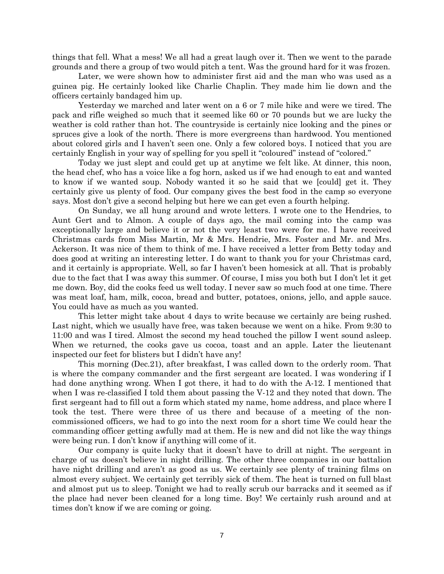things that fell. What a mess! We all had a great laugh over it. Then we went to the parade grounds and there a group of two would pitch a tent. Was the ground hard for it was frozen.

Later, we were shown how to administer first aid and the man who was used as a guinea pig. He certainly looked like Charlie Chaplin. They made him lie down and the officers certainly bandaged him up.

Yesterday we marched and later went on a 6 or 7 mile hike and were we tired. The pack and rifle weighed so much that it seemed like 60 or 70 pounds but we are lucky the weather is cold rather than hot. The countryside is certainly nice looking and the pines or spruces give a look of the north. There is more evergreens than hardwood. You mentioned about colored girls and I haven't seen one. Only a few colored boys. I noticed that you are certainly English in your way of spelling for you spell it "coloured" instead of "colored."

Today we just slept and could get up at anytime we felt like. At dinner, this noon, the head chef, who has a voice like a fog horn, asked us if we had enough to eat and wanted to know if we wanted soup. Nobody wanted it so he said that we [could] get it. They certainly give us plenty of food. Our company gives the best food in the camp so everyone says. Most don't give a second helping but here we can get even a fourth helping.

On Sunday, we all hung around and wrote letters. I wrote one to the Hendries, to Aunt Gert and to Almon. A couple of days ago, the mail coming into the camp was exceptionally large and believe it or not the very least two were for me. I have received Christmas cards from Miss Martin, Mr & Mrs. Hendrie, Mrs. Foster and Mr. and Mrs. Ackerson. It was nice of them to think of me. I have received a letter from Betty today and does good at writing an interesting letter. I do want to thank you for your Christmas card, and it certainly is appropriate. Well, so far I haven't been homesick at all. That is probably due to the fact that I was away this summer. Of course, I miss you both but I don't let it get me down. Boy, did the cooks feed us well today. I never saw so much food at one time. There was meat loaf, ham, milk, cocoa, bread and butter, potatoes, onions, jello, and apple sauce. You could have as much as you wanted.

This letter might take about 4 days to write because we certainly are being rushed. Last night, which we usually have free, was taken because we went on a hike. From 9:30 to 11:00 and was I tired. Almost the second my head touched the pillow I went sound asleep. When we returned, the cooks gave us cocoa, toast and an apple. Later the lieutenant inspected our feet for blisters but I didn't have any!

This morning (Dec.21), after breakfast, I was called down to the orderly room. That is where the company commander and the first sergeant are located. I was wondering if I had done anything wrong. When I got there, it had to do with the A-12. I mentioned that when I was re-classified I told them about passing the V-12 and they noted that down. The first sergeant had to fill out a form which stated my name, home address, and place where I took the test. There were three of us there and because of a meeting of the noncommissioned officers, we had to go into the next room for a short time We could hear the commanding officer getting awfully mad at them. He is new and did not like the way things were being run. I don't know if anything will come of it.

Our company is quite lucky that it doesn't have to drill at night. The sergeant in charge of us doesn't believe in night drilling. The other three companies in our battalion have night drilling and aren't as good as us. We certainly see plenty of training films on almost every subject. We certainly get terribly sick of them. The heat is turned on full blast and almost put us to sleep. Tonight we had to really scrub our barracks and it seemed as if the place had never been cleaned for a long time. Boy! We certainly rush around and at times don't know if we are coming or going.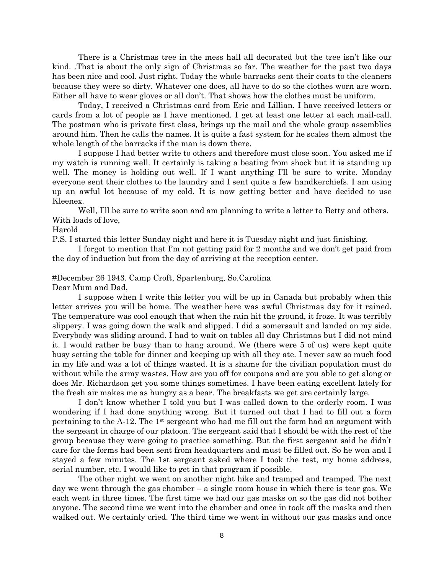There is a Christmas tree in the mess hall all decorated but the tree isn't like our kind. .That is about the only sign of Christmas so far. The weather for the past two days has been nice and cool. Just right. Today the whole barracks sent their coats to the cleaners because they were so dirty. Whatever one does, all have to do so the clothes worn are worn. Either all have to wear gloves or all don't. That shows how the clothes must be uniform.

Today, I received a Christmas card from Eric and Lillian. I have received letters or cards from a lot of people as I have mentioned. I get at least one letter at each mail-call. The postman who is private first class, brings up the mail and the whole group assemblies around him. Then he calls the names. It is quite a fast system for he scales them almost the whole length of the barracks if the man is down there.

I suppose I had better write to others and therefore must close soon. You asked me if my watch is running well. It certainly is taking a beating from shock but it is standing up well. The money is holding out well. If I want anything I'll be sure to write. Monday everyone sent their clothes to the laundry and I sent quite a few handkerchiefs. I am using up an awful lot because of my cold. It is now getting better and have decided to use Kleenex.

Well, I'll be sure to write soon and am planning to write a letter to Betty and others. With loads of love,

### Harold

P.S. I started this letter Sunday night and here it is Tuesday night and just finishing.

I forgot to mention that I'm not getting paid for 2 months and we don't get paid from the day of induction but from the day of arriving at the reception center.

# #December 26 1943. Camp Croft, Spartenburg, So.Carolina

Dear Mum and Dad,

I suppose when I write this letter you will be up in Canada but probably when this letter arrives you will be home. The weather here was awful Christmas day for it rained. The temperature was cool enough that when the rain hit the ground, it froze. It was terribly slippery. I was going down the walk and slipped. I did a somersault and landed on my side. Everybody was sliding around. I had to wait on tables all day Christmas but I did not mind it. I would rather be busy than to hang around. We (there were 5 of us) were kept quite busy setting the table for dinner and keeping up with all they ate. I never saw so much food in my life and was a lot of things wasted. It is a shame for the civilian population must do without while the army wastes. How are you off for coupons and are you able to get along or does Mr. Richardson get you some things sometimes. I have been eating excellent lately for the fresh air makes me as hungry as a bear. The breakfasts we get are certainly large.

I don't know whether I told you but I was called down to the orderly room. I was wondering if I had done anything wrong. But it turned out that I had to fill out a form pertaining to the A-12. The  $1<sup>st</sup>$  sergeant who had me fill out the form had an argument with the sergeant in charge of our platoon. The sergeant said that I should be with the rest of the group because they were going to practice something. But the first sergeant said he didn't care for the forms had been sent from headquarters and must be filled out. So he won and I stayed a few minutes. The 1st sergeant asked where I took the test, my home address, serial number, etc. I would like to get in that program if possible.

The other night we went on another night hike and tramped and tramped. The next day we went through the gas chamber – a single room house in which there is tear gas. We each went in three times. The first time we had our gas masks on so the gas did not bother anyone. The second time we went into the chamber and once in took off the masks and then walked out. We certainly cried. The third time we went in without our gas masks and once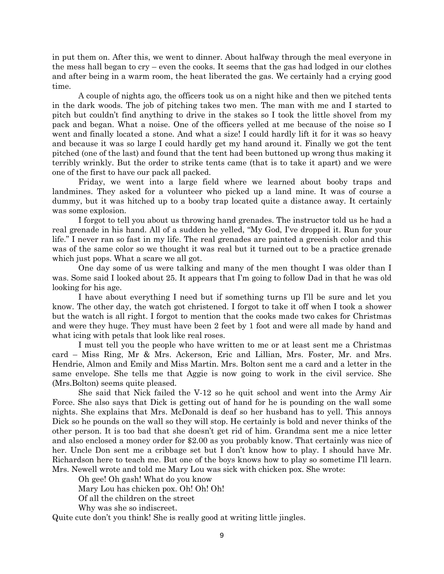in put them on. After this, we went to dinner. About halfway through the meal everyone in the mess hall began to cry – even the cooks. It seems that the gas had lodged in our clothes and after being in a warm room, the heat liberated the gas. We certainly had a crying good time.

A couple of nights ago, the officers took us on a night hike and then we pitched tents in the dark woods. The job of pitching takes two men. The man with me and I started to pitch but couldn't find anything to drive in the stakes so I took the little shovel from my pack and began. What a noise. One of the officers yelled at me because of the noise so I went and finally located a stone. And what a size! I could hardly lift it for it was so heavy and because it was so large I could hardly get my hand around it. Finally we got the tent pitched (one of the last) and found that the tent had been buttoned up wrong thus making it terribly wrinkly. But the order to strike tents came (that is to take it apart) and we were one of the first to have our pack all packed.

Friday, we went into a large field where we learned about booby traps and landmines. They asked for a volunteer who picked up a land mine. It was of course a dummy, but it was hitched up to a booby trap located quite a distance away. It certainly was some explosion.

I forgot to tell you about us throwing hand grenades. The instructor told us he had a real grenade in his hand. All of a sudden he yelled, "My God, I've dropped it. Run for your life." I never ran so fast in my life. The real grenades are painted a greenish color and this was of the same color so we thought it was real but it turned out to be a practice grenade which just pops. What a scare we all got.

One day some of us were talking and many of the men thought I was older than I was. Some said I looked about 25. It appears that I'm going to follow Dad in that he was old looking for his age.

I have about everything I need but if something turns up I'll be sure and let you know. The other day, the watch got christened. I forgot to take it off when I took a shower but the watch is all right. I forgot to mention that the cooks made two cakes for Christmas and were they huge. They must have been 2 feet by 1 foot and were all made by hand and what icing with petals that look like real roses.

I must tell you the people who have written to me or at least sent me a Christmas card – Miss Ring, Mr & Mrs. Ackerson, Eric and Lillian, Mrs. Foster, Mr. and Mrs. Hendrie, Almon and Emily and Miss Martin. Mrs. Bolton sent me a card and a letter in the same envelope. She tells me that Aggie is now going to work in the civil service. She (Mrs.Bolton) seems quite pleased.

She said that Nick failed the V-12 so he quit school and went into the Army Air Force. She also says that Dick is getting out of hand for he is pounding on the wall some nights. She explains that Mrs. McDonald is deaf so her husband has to yell. This annoys Dick so he pounds on the wall so they will stop. He certainly is bold and never thinks of the other person. It is too bad that she doesn't get rid of him. Grandma sent me a nice letter and also enclosed a money order for \$2.00 as you probably know. That certainly was nice of her. Uncle Don sent me a cribbage set but I don't know how to play. I should have Mr. Richardson here to teach me. But one of the boys knows how to play so sometime I'll learn. Mrs. Newell wrote and told me Mary Lou was sick with chicken pox. She wrote:

Oh gee! Oh gash! What do you know

Mary Lou has chicken pox. Oh! Oh! Oh!

Of all the children on the street

Why was she so indiscreet.

Quite cute don't you think! She is really good at writing little jingles.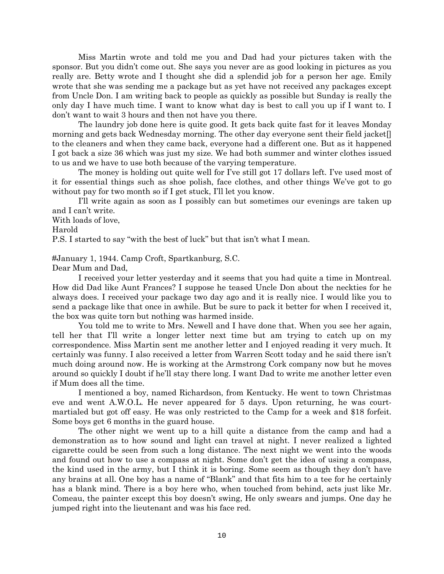Miss Martin wrote and told me you and Dad had your pictures taken with the sponsor. But you didn't come out. She says you never are as good looking in pictures as you really are. Betty wrote and I thought she did a splendid job for a person her age. Emily wrote that she was sending me a package but as yet have not received any packages except from Uncle Don. I am writing back to people as quickly as possible but Sunday is really the only day I have much time. I want to know what day is best to call you up if I want to. I don't want to wait 3 hours and then not have you there.

The laundry job done here is quite good. It gets back quite fast for it leaves Monday morning and gets back Wednesday morning. The other day everyone sent their field jacket[] to the cleaners and when they came back, everyone had a different one. But as it happened I got back a size 36 which was just my size. We had both summer and winter clothes issued to us and we have to use both because of the varying temperature.

The money is holding out quite well for I've still got 17 dollars left. I've used most of it for essential things such as shoe polish, face clothes, and other things We've got to go without pay for two month so if I get stuck, I'll let you know.

I'll write again as soon as I possibly can but sometimes our evenings are taken up and I can't write.

With loads of love,

Harold

P.S. I started to say "with the best of luck" but that isn't what I mean.

#January 1, 1944. Camp Croft, Spartkanburg, S.C.

Dear Mum and Dad,

I received your letter yesterday and it seems that you had quite a time in Montreal. How did Dad like Aunt Frances? I suppose he teased Uncle Don about the neckties for he always does. I received your package two day ago and it is really nice. I would like you to send a package like that once in awhile. But be sure to pack it better for when I received it, the box was quite torn but nothing was harmed inside.

You told me to write to Mrs. Newell and I have done that. When you see her again, tell her that I'll write a longer letter next time but am trying to catch up on my correspondence. Miss Martin sent me another letter and I enjoyed reading it very much. It certainly was funny. I also received a letter from Warren Scott today and he said there isn't much doing around now. He is working at the Armstrong Cork company now but he moves around so quickly I doubt if he'll stay there long. I want Dad to write me another letter even if Mum does all the time.

I mentioned a boy, named Richardson, from Kentucky. He went to town Christmas eve and went A.W.O.L. He never appeared for 5 days. Upon returning, he was courtmartialed but got off easy. He was only restricted to the Camp for a week and \$18 forfeit. Some boys get 6 months in the guard house.

The other night we went up to a hill quite a distance from the camp and had a demonstration as to how sound and light can travel at night. I never realized a lighted cigarette could be seen from such a long distance. The next night we went into the woods and found out how to use a compass at night. Some don't get the idea of using a compass, the kind used in the army, but I think it is boring. Some seem as though they don't have any brains at all. One boy has a name of "Blank" and that fits him to a tee for he certainly has a blank mind. There is a boy here who, when touched from behind, acts just like Mr. Comeau, the painter except this boy doesn't swing, He only swears and jumps. One day he jumped right into the lieutenant and was his face red.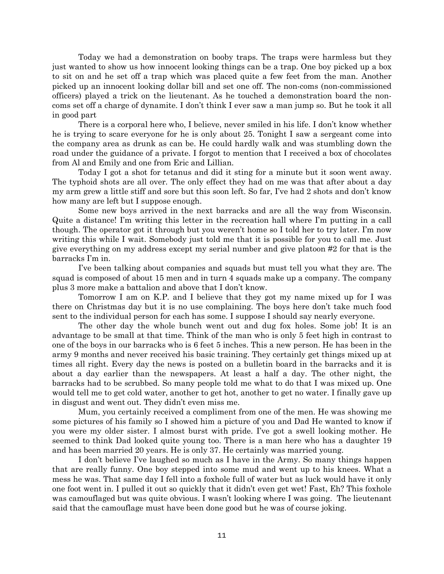Today we had a demonstration on booby traps. The traps were harmless but they just wanted to show us how innocent looking things can be a trap. One boy picked up a box to sit on and he set off a trap which was placed quite a few feet from the man. Another picked up an innocent looking dollar bill and set one off. The non-coms (non-commissioned officers) played a trick on the lieutenant. As he touched a demonstration board the noncoms set off a charge of dynamite. I don't think I ever saw a man jump so. But he took it all in good part

There is a corporal here who, I believe, never smiled in his life. I don't know whether he is trying to scare everyone for he is only about 25. Tonight I saw a sergeant come into the company area as drunk as can be. He could hardly walk and was stumbling down the road under the guidance of a private. I forgot to mention that I received a box of chocolates from Al and Emily and one from Eric and Lillian.

Today I got a shot for tetanus and did it sting for a minute but it soon went away. The typhoid shots are all over. The only effect they had on me was that after about a day my arm grew a little stiff and sore but this soon left. So far, I've had 2 shots and don't know how many are left but I suppose enough.

Some new boys arrived in the next barracks and are all the way from Wisconsin. Quite a distance! I'm writing this letter in the recreation hall where I'm putting in a call though. The operator got it through but you weren't home so I told her to try later. I'm now writing this while I wait. Somebody just told me that it is possible for you to call me. Just give everything on my address except my serial number and give platoon #2 for that is the barracks I'm in.

I've been talking about companies and squads but must tell you what they are. The squad is composed of about 15 men and in turn 4 squads make up a company. The company plus 3 more make a battalion and above that I don't know.

Tomorrow I am on K.P. and I believe that they got my name mixed up for I was there on Christmas day but it is no use complaining. The boys here don't take much food sent to the individual person for each has some. I suppose I should say nearly everyone.

The other day the whole bunch went out and dug fox holes. Some job! It is an advantage to be small at that time. Think of the man who is only 5 feet high in contrast to one of the boys in our barracks who is 6 feet 5 inches. This a new person. He has been in the army 9 months and never received his basic training. They certainly get things mixed up at times all right. Every day the news is posted on a bulletin board in the barracks and it is about a day earlier than the newspapers. At least a half a day. The other night, the barracks had to be scrubbed. So many people told me what to do that I was mixed up. One would tell me to get cold water, another to get hot, another to get no water. I finally gave up in disgust and went out. They didn't even miss me.

Mum, you certainly received a compliment from one of the men. He was showing me some pictures of his family so I showed him a picture of you and Dad He wanted to know if you were my older sister. I almost burst with pride. I've got a swell looking mother. He seemed to think Dad looked quite young too. There is a man here who has a daughter 19 and has been married 20 years. He is only 37. He certainly was married young.

I don't believe I've laughed so much as I have in the Army. So many things happen that are really funny. One boy stepped into some mud and went up to his knees. What a mess he was. That same day I fell into a foxhole full of water but as luck would have it only one foot went in. I pulled it out so quickly that it didn't even get wet! Fast, Eh? This foxhole was camouflaged but was quite obvious. I wasn't looking where I was going. The lieutenant said that the camouflage must have been done good but he was of course joking.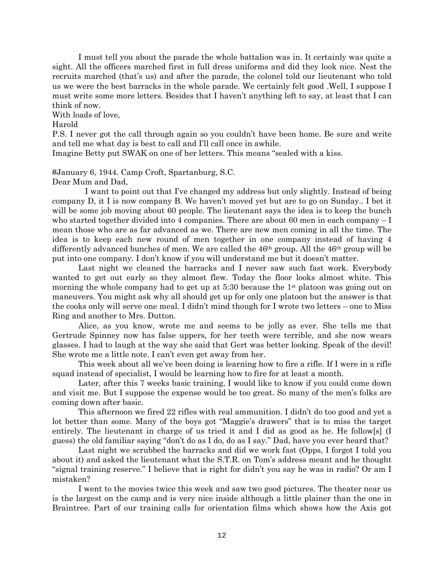I must tell you about the parade the whole battalion was in. It certainly was quite a sight. All the officers marched first in full dress uniforms and did they look nice. Nest the recruits marched (that's us) and after the parade, the colonel told our lieutenant who told us we were the best barracks in the whole parade. We certainly felt good .Well, I suppose I must write some more letters. Besides that I haven't anything left to say, at least that I can think of now.

With loads of love,

## Harold

P.S. I never got the call through again so you couldn't have been home. Be sure and write and tell me what day is best to call and I'll call once in awhile.

Imagine Betty put SWAK on one of her letters. This means "sealed with a kiss.

#January 6, 1944. Camp Croft, Spartanburg, S.C.

Dear Mum and Dad,

 I want to point out that I've changed my address but only slightly. Instead of being company D, it I is now company B. We haven't moved yet but are to go on Sunday.. I bet it will be some job moving about 60 people. The lieutenant says the idea is to keep the bunch who started together divided into 4 companies. There are about 60 men in each company  $-I$ mean those who are as far advanced as we. There are new men coming in all the time. The idea is to keep each new round of men together in one company instead of having 4 differently advanced bunches of men. We are called the  $46<sup>th</sup>$  group. All the  $46<sup>th</sup>$  group will be put into one company. I don't know if you will understand me but it doesn't matter.

Last night we cleaned the barracks and I never saw such fast work. Everybody wanted to get out early so they almost flew. Today the floor looks almost white. This morning the whole company had to get up at  $5:30$  because the  $1<sup>st</sup>$  platoon was going out on maneuvers. You might ask why all should get up for only one platoon but the answer is that the cooks only will serve one meal. I didn't mind though for I wrote two letters – one to Miss Ring and another to Mrs. Dutton.

Alice, as you know, wrote me and seems to be jolly as ever. She tells me that Gertrude Spinney now has false uppers, for her teeth were terrible, and she now wears glasses. I had to laugh at the way she said that Gert was better looking. Speak of the devil! She wrote me a little note. I can't even get away from her.

This week about all we've been doing is learning how to fire a rifle. If I were in a rifle squad instead of specialist, I would be learning how to fire for at least a month.

Later, after this 7 weeks basic training, I would like to know if you could come down and visit me. But I suppose the expense would be too great. So many of the men's folks are coming down after basic.

This afternoon we fired 22 rifles with real ammunition. I didn't do too good and yet a lot better than some. Many of the boys got "Maggie's drawers" that is to miss the target entirely. The lieutenant in charge of us tried it and I did as good as he. He follow[s] (I guess) the old familiar saying "don't do as I do, do as I say." Dad, have you ever heard that?

Last night we scrubbed the barracks and did we work fast (Opps, I forgot I told you about it) and asked the lieutenant what the S.T.R. on Tom's address meant and he thought "signal training reserve." I believe that is right for didn't you say he was in radio? Or am I mistaken?

I went to the movies twice this week and saw two good pictures. The theater near us is the largest on the camp and is very nice inside although a little plainer than the one in Braintree. Part of our training calls for orientation films which shows how the Axis got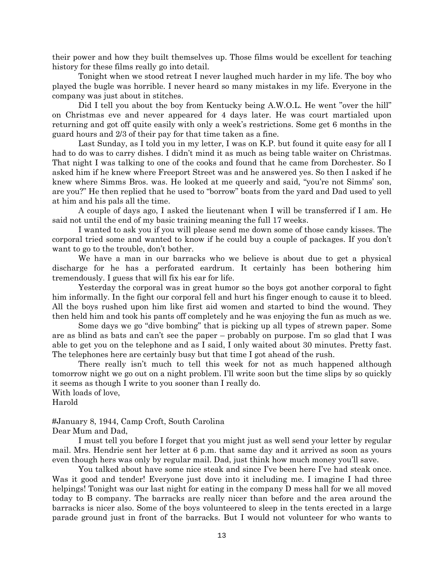their power and how they built themselves up. Those films would be excellent for teaching history for these films really go into detail.

Tonight when we stood retreat I never laughed much harder in my life. The boy who played the bugle was horrible. I never heard so many mistakes in my life. Everyone in the company was just about in stitches.

Did I tell you about the boy from Kentucky being A.W.O.L. He went "over the hill" on Christmas eve and never appeared for 4 days later. He was court martialed upon returning and got off quite easily with only a week's restrictions. Some get 6 months in the guard hours and 2/3 of their pay for that time taken as a fine.

Last Sunday, as I told you in my letter, I was on K.P. but found it quite easy for all I had to do was to carry dishes. I didn't mind it as much as being table waiter on Christmas. That night I was talking to one of the cooks and found that he came from Dorchester. So I asked him if he knew where Freeport Street was and he answered yes. So then I asked if he knew where Simms Bros. was. He looked at me queerly and said, "you're not Simms' son, are you?" He then replied that he used to "borrow" boats from the yard and Dad used to yell at him and his pals all the time.

A couple of days ago, I asked the lieutenant when I will be transferred if I am. He said not until the end of my basic training meaning the full 17 weeks.

I wanted to ask you if you will please send me down some of those candy kisses. The corporal tried some and wanted to know if he could buy a couple of packages. If you don't want to go to the trouble, don't bother.

We have a man in our barracks who we believe is about due to get a physical discharge for he has a perforated eardrum. It certainly has been bothering him tremendously. I guess that will fix his ear for life.

Yesterday the corporal was in great humor so the boys got another corporal to fight him informally. In the fight our corporal fell and hurt his finger enough to cause it to bleed. All the boys rushed upon him like first aid women and started to bind the wound. They then held him and took his pants off completely and he was enjoying the fun as much as we.

Some days we go "dive bombing" that is picking up all types of strewn paper. Some are as blind as bats and can't see the paper – probably on purpose. I'm so glad that I was able to get you on the telephone and as I said, I only waited about 30 minutes. Pretty fast. The telephones here are certainly busy but that time I got ahead of the rush.

There really isn't much to tell this week for not as much happened although tomorrow night we go out on a night problem. I'll write soon but the time slips by so quickly it seems as though I write to you sooner than I really do.

With loads of love,

Harold

#January 8, 1944, Camp Croft, South Carolina Dear Mum and Dad,

I must tell you before I forget that you might just as well send your letter by regular mail. Mrs. Hendrie sent her letter at 6 p.m. that same day and it arrived as soon as yours even though hers was only by regular mail. Dad, just think how much money you'll save.

You talked about have some nice steak and since I've been here I've had steak once. Was it good and tender! Everyone just dove into it including me. I imagine I had three helpings! Tonight was our last night for eating in the company D mess hall for we all moved today to B company. The barracks are really nicer than before and the area around the barracks is nicer also. Some of the boys volunteered to sleep in the tents erected in a large parade ground just in front of the barracks. But I would not volunteer for who wants to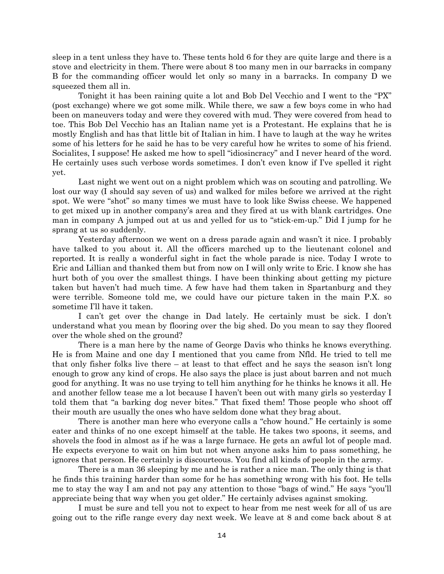sleep in a tent unless they have to. These tents hold 6 for they are quite large and there is a stove and electricity in them. There were about 8 too many men in our barracks in company B for the commanding officer would let only so many in a barracks. In company D we squeezed them all in.

Tonight it has been raining quite a lot and Bob Del Vecchio and I went to the "PX" (post exchange) where we got some milk. While there, we saw a few boys come in who had been on maneuvers today and were they covered with mud. They were covered from head to toe. This Bob Del Vecchio has an Italian name yet is a Protestant. He explains that he is mostly English and has that little bit of Italian in him. I have to laugh at the way he writes some of his letters for he said he has to be very careful how he writes to some of his friend. Socialites, I suppose! He asked me how to spell "idiosincracy" and I never heard of the word. He certainly uses such verbose words sometimes. I don't even know if I've spelled it right yet.

Last night we went out on a night problem which was on scouting and patrolling. We lost our way (I should say seven of us) and walked for miles before we arrived at the right spot. We were "shot" so many times we must have to look like Swiss cheese. We happened to get mixed up in another company's area and they fired at us with blank cartridges. One man in company A jumped out at us and yelled for us to "stick-em-up." Did I jump for he sprang at us so suddenly.

Yesterday afternoon we went on a dress parade again and wasn't it nice. I probably have talked to you about it. All the officers marched up to the lieutenant colonel and reported. It is really a wonderful sight in fact the whole parade is nice. Today I wrote to Eric and Lillian and thanked them but from now on I will only write to Eric. I know she has hurt both of you over the smallest things. I have been thinking about getting my picture taken but haven't had much time. A few have had them taken in Spartanburg and they were terrible. Someone told me, we could have our picture taken in the main P.X. so sometime I'll have it taken.

I can't get over the change in Dad lately. He certainly must be sick. I don't understand what you mean by flooring over the big shed. Do you mean to say they floored over the whole shed on the ground?

There is a man here by the name of George Davis who thinks he knows everything. He is from Maine and one day I mentioned that you came from Nfld. He tried to tell me that only fisher folks live there – at least to that effect and he says the season isn't long enough to grow any kind of crops. He also says the place is just about barren and not much good for anything. It was no use trying to tell him anything for he thinks he knows it all. He and another fellow tease me a lot because I haven't been out with many girls so yesterday I told them that "a barking dog never bites." That fixed them! Those people who shoot off their mouth are usually the ones who have seldom done what they brag about.

There is another man here who everyone calls a "chow hound." He certainly is some eater and thinks of no one except himself at the table. He takes two spoons, it seems, and shovels the food in almost as if he was a large furnace. He gets an awful lot of people mad. He expects everyone to wait on him but not when anyone asks him to pass something, he ignores that person. He certainly is discourteous. You find all kinds of people in the army.

There is a man 36 sleeping by me and he is rather a nice man. The only thing is that he finds this training harder than some for he has something wrong with his foot. He tells me to stay the way I am and not pay any attention to those "bags of wind." He says "you'll appreciate being that way when you get older." He certainly advises against smoking.

I must be sure and tell you not to expect to hear from me nest week for all of us are going out to the rifle range every day next week. We leave at 8 and come back about 8 at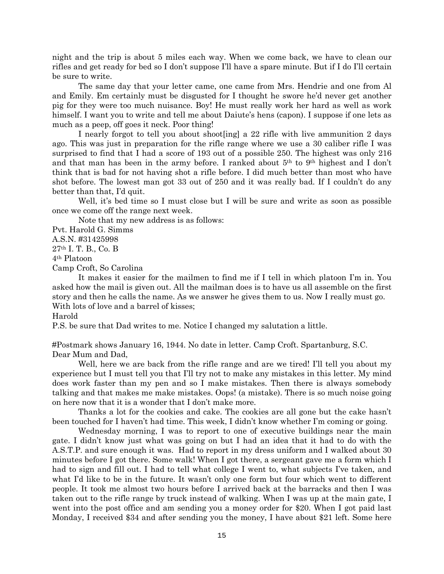night and the trip is about 5 miles each way. When we come back, we have to clean our rifles and get ready for bed so I don't suppose I'll have a spare minute. But if I do I'll certain be sure to write.

The same day that your letter came, one came from Mrs. Hendrie and one from Al and Emily. Em certainly must be disgusted for I thought he swore he'd never get another pig for they were too much nuisance. Boy! He must really work her hard as well as work himself. I want you to write and tell me about Daiute's hens (capon). I suppose if one lets as much as a peep, off goes it neck. Poor thing!

I nearly forgot to tell you about shoot[ing] a 22 rifle with live ammunition 2 days ago. This was just in preparation for the rifle range where we use a 30 caliber rifle I was surprised to find that I had a score of 193 out of a possible 250. The highest was only 216 and that man has been in the army before. I ranked about 5th to 9th highest and I don't think that is bad for not having shot a rifle before. I did much better than most who have shot before. The lowest man got 33 out of 250 and it was really bad. If I couldn't do any better than that, I'd quit.

Well, it's bed time so I must close but I will be sure and write as soon as possible once we come off the range next week.

Note that my new address is as follows:

Pvt. Harold G. Simms

A.S.N. #31425998

27th I. T. B., Co. B

4th Platoon

Camp Croft, So Carolina

It makes it easier for the mailmen to find me if I tell in which platoon I'm in. You asked how the mail is given out. All the mailman does is to have us all assemble on the first story and then he calls the name. As we answer he gives them to us. Now I really must go. With lots of love and a barrel of kisses;

Harold

P.S. be sure that Dad writes to me. Notice I changed my salutation a little.

#Postmark shows January 16, 1944. No date in letter. Camp Croft. Spartanburg, S.C. Dear Mum and Dad,

Well, here we are back from the rifle range and are we tired! I'll tell you about my experience but I must tell you that I'll try not to make any mistakes in this letter. My mind does work faster than my pen and so I make mistakes. Then there is always somebody talking and that makes me make mistakes. Oops! (a mistake). There is so much noise going on here now that it is a wonder that I don't make more.

Thanks a lot for the cookies and cake. The cookies are all gone but the cake hasn't been touched for I haven't had time. This week, I didn't know whether I'm coming or going.

Wednesday morning, I was to report to one of executive buildings near the main gate. I didn't know just what was going on but I had an idea that it had to do with the A.S.T.P. and sure enough it was. Had to report in my dress uniform and I walked about 30 minutes before I got there. Some walk! When I got there, a sergeant gave me a form which I had to sign and fill out. I had to tell what college I went to, what subjects I've taken, and what I'd like to be in the future. It wasn't only one form but four which went to different people. It took me almost two hours before I arrived back at the barracks and then I was taken out to the rifle range by truck instead of walking. When I was up at the main gate, I went into the post office and am sending you a money order for \$20. When I got paid last Monday, I received \$34 and after sending you the money, I have about \$21 left. Some here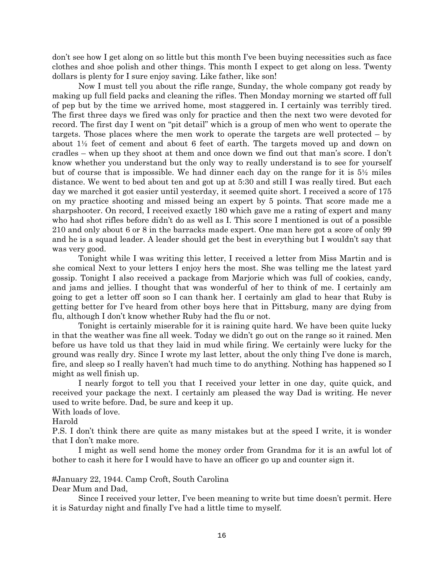don't see how I get along on so little but this month I've been buying necessities such as face clothes and shoe polish and other things. This month I expect to get along on less. Twenty dollars is plenty for I sure enjoy saving. Like father, like son!

Now I must tell you about the rifle range, Sunday, the whole company got ready by making up full field packs and cleaning the rifles. Then Monday morning we started off full of pep but by the time we arrived home, most staggered in. I certainly was terribly tired. The first three days we fired was only for practice and then the next two were devoted for record. The first day I went on "pit detail" which is a group of men who went to operate the targets. Those places where the men work to operate the targets are well protected – by about 1½ feet of cement and about 6 feet of earth. The targets moved up and down on cradles – when up they shoot at them and once down we find out that man's score. I don't know whether you understand but the only way to really understand is to see for yourself but of course that is impossible. We had dinner each day on the range for it is 5½ miles distance. We went to bed about ten and got up at 5:30 and still I was really tired. But each day we marched it got easier until yesterday, it seemed quite short. I received a score of 175 on my practice shooting and missed being an expert by 5 points. That score made me a sharpshooter. On record, I received exactly 180 which gave me a rating of expert and many who had shot rifles before didn't do as well as I. This score I mentioned is out of a possible 210 and only about 6 or 8 in the barracks made expert. One man here got a score of only 99 and he is a squad leader. A leader should get the best in everything but I wouldn't say that was very good.

Tonight while I was writing this letter, I received a letter from Miss Martin and is she comical Next to your letters I enjoy hers the most. She was telling me the latest yard gossip. Tonight I also received a package from Marjorie which was full of cookies, candy, and jams and jellies. I thought that was wonderful of her to think of me. I certainly am going to get a letter off soon so I can thank her. I certainly am glad to hear that Ruby is getting better for I've heard from other boys here that in Pittsburg, many are dying from flu, although I don't know whether Ruby had the flu or not.

Tonight is certainly miserable for it is raining quite hard. We have been quite lucky in that the weather was fine all week. Today we didn't go out on the range so it rained. Men before us have told us that they laid in mud while firing. We certainly were lucky for the ground was really dry. Since I wrote my last letter, about the only thing I've done is march, fire, and sleep so I really haven't had much time to do anything. Nothing has happened so I might as well finish up.

I nearly forgot to tell you that I received your letter in one day, quite quick, and received your package the next. I certainly am pleased the way Dad is writing. He never used to write before. Dad, be sure and keep it up.

With loads of love.

Harold

P.S. I don't think there are quite as many mistakes but at the speed I write, it is wonder that I don't make more.

I might as well send home the money order from Grandma for it is an awful lot of bother to cash it here for I would have to have an officer go up and counter sign it.

#January 22, 1944. Camp Croft, South Carolina

Dear Mum and Dad,

Since I received your letter, I've been meaning to write but time doesn't permit. Here it is Saturday night and finally I've had a little time to myself.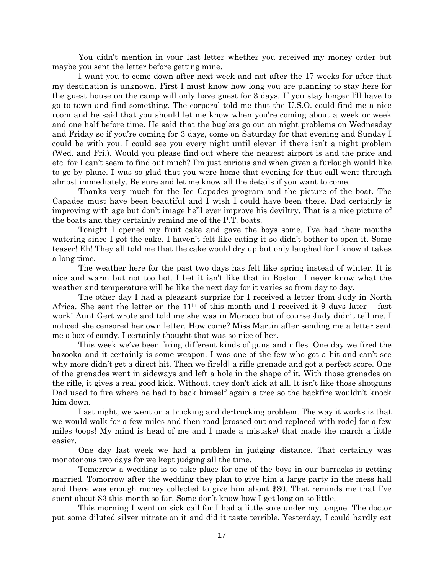You didn't mention in your last letter whether you received my money order but maybe you sent the letter before getting mine.

I want you to come down after next week and not after the 17 weeks for after that my destination is unknown. First I must know how long you are planning to stay here for the guest house on the camp will only have guest for 3 days. If you stay longer I'll have to go to town and find something. The corporal told me that the U.S.O. could find me a nice room and he said that you should let me know when you're coming about a week or week and one half before time. He said that the buglers go out on night problems on Wednesday and Friday so if you're coming for 3 days, come on Saturday for that evening and Sunday I could be with you. I could see you every night until eleven if there isn't a night problem (Wed. and Fri.). Would you please find out where the nearest airport is and the price and etc. for I can't seem to find out much? I'm just curious and when given a furlough would like to go by plane. I was so glad that you were home that evening for that call went through almost immediately. Be sure and let me know all the details if you want to come.

Thanks very much for the Ice Capades program and the picture of the boat. The Capades must have been beautiful and I wish I could have been there. Dad certainly is improving with age but don't image he'll ever improve his deviltry. That is a nice picture of the boats and they certainly remind me of the P.T. boats.

Tonight I opened my fruit cake and gave the boys some. I've had their mouths watering since I got the cake. I haven't felt like eating it so didn't bother to open it. Some teaser! Eh! They all told me that the cake would dry up but only laughed for I know it takes a long time.

The weather here for the past two days has felt like spring instead of winter. It is nice and warm but not too hot. I bet it isn't like that in Boston. I never know what the weather and temperature will be like the next day for it varies so from day to day.

The other day I had a pleasant surprise for I received a letter from Judy in North Africa. She sent the letter on the  $11<sup>th</sup>$  of this month and I received it 9 days later – fast work! Aunt Gert wrote and told me she was in Morocco but of course Judy didn't tell me. I noticed she censored her own letter. How come? Miss Martin after sending me a letter sent me a box of candy. I certainly thought that was so nice of her.

This week we've been firing different kinds of guns and rifles. One day we fired the bazooka and it certainly is some weapon. I was one of the few who got a hit and can't see why more didn't get a direct hit. Then we firedd a rifle grenade and got a perfect score. One of the grenades went in sideways and left a hole in the shape of it. With those grenades on the rifle, it gives a real good kick. Without, they don't kick at all. It isn't like those shotguns Dad used to fire where he had to back himself again a tree so the backfire wouldn't knock him down.

Last night, we went on a trucking and de-trucking problem. The way it works is that we would walk for a few miles and then road [crossed out and replaced with rode] for a few miles (oops! My mind is head of me and I made a mistake) that made the march a little easier.

One day last week we had a problem in judging distance. That certainly was monotonous two days for we kept judging all the time.

Tomorrow a wedding is to take place for one of the boys in our barracks is getting married. Tomorrow after the wedding they plan to give him a large party in the mess hall and there was enough money collected to give him about \$30. That reminds me that I've spent about \$3 this month so far. Some don't know how I get long on so little.

This morning I went on sick call for I had a little sore under my tongue. The doctor put some diluted silver nitrate on it and did it taste terrible. Yesterday, I could hardly eat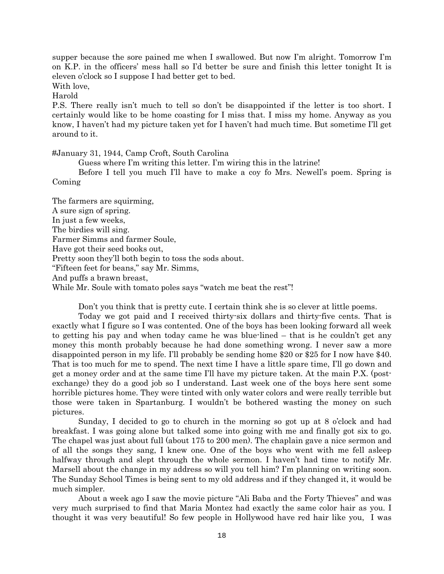supper because the sore pained me when I swallowed. But now I'm alright. Tomorrow I'm on K.P. in the officers' mess hall so I'd better be sure and finish this letter tonight It is eleven o'clock so I suppose I had better get to bed.

With love,

Harold

P.S. There really isn't much to tell so don't be disappointed if the letter is too short. I certainly would like to be home coasting for I miss that. I miss my home. Anyway as you know, I haven't had my picture taken yet for I haven't had much time. But sometime I'll get around to it.

#January 31, 1944, Camp Croft, South Carolina

Guess where I'm writing this letter. I'm wiring this in the latrine!

Before I tell you much I'll have to make a coy fo Mrs. Newell's poem. Spring is Coming

The farmers are squirming, A sure sign of spring. In just a few weeks, The birdies will sing. Farmer Simms and farmer Soule, Have got their seed books out, Pretty soon they'll both begin to toss the sods about. "Fifteen feet for beans," say Mr. Simms, And puffs a brawn breast, While Mr. Soule with tomato poles says "watch me beat the rest"!

Don't you think that is pretty cute. I certain think she is so clever at little poems.

Today we got paid and I received thirty-six dollars and thirty-five cents. That is exactly what I figure so I was contented. One of the boys has been looking forward all week to getting his pay and when today came he was blue-lined – that is he couldn't get any money this month probably because he had done something wrong. I never saw a more disappointed person in my life. I'll probably be sending home \$20 or \$25 for I now have \$40. That is too much for me to spend. The next time I have a little spare time, I'll go down and get a money order and at the same time I'll have my picture taken. At the main P.X. (postexchange) they do a good job so I understand. Last week one of the boys here sent some horrible pictures home. They were tinted with only water colors and were really terrible but those were taken in Spartanburg. I wouldn't be bothered wasting the money on such pictures.

Sunday, I decided to go to church in the morning so got up at 8 o'clock and had breakfast. I was going alone but talked some into going with me and finally got six to go. The chapel was just about full (about 175 to 200 men). The chaplain gave a nice sermon and of all the songs they sang, I knew one. One of the boys who went with me fell asleep halfway through and slept through the whole sermon. I haven't had time to notify Mr. Marsell about the change in my address so will you tell him? I'm planning on writing soon. The Sunday School Times is being sent to my old address and if they changed it, it would be much simpler.

About a week ago I saw the movie picture "Ali Baba and the Forty Thieves" and was very much surprised to find that Maria Montez had exactly the same color hair as you. I thought it was very beautiful! So few people in Hollywood have red hair like you, I was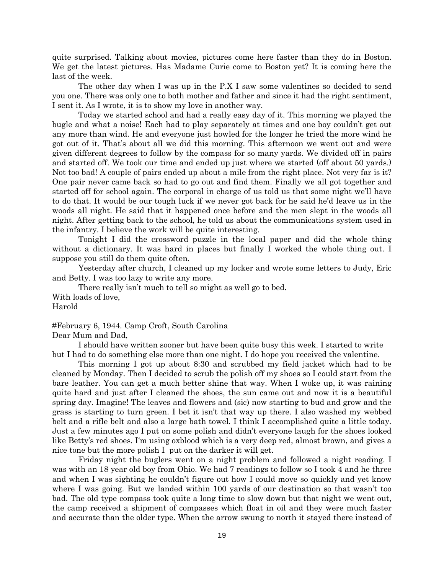quite surprised. Talking about movies, pictures come here faster than they do in Boston. We get the latest pictures. Has Madame Curie come to Boston yet? It is coming here the last of the week.

The other day when I was up in the P.X I saw some valentines so decided to send you one. There was only one to both mother and father and since it had the right sentiment, I sent it. As I wrote, it is to show my love in another way.

Today we started school and had a really easy day of it. This morning we played the bugle and what a noise! Each had to play separately at times and one boy couldn't get out any more than wind. He and everyone just howled for the longer he tried the more wind he got out of it. That's about all we did this morning. This afternoon we went out and were given different degrees to follow by the compass for so many yards. We divided off in pairs and started off. We took our time and ended up just where we started (off about 50 yards.) Not too bad! A couple of pairs ended up about a mile from the right place. Not very far is it? One pair never came back so had to go out and find them. Finally we all got together and started off for school again. The corporal in charge of us told us that some night we'll have to do that. It would be our tough luck if we never got back for he said he'd leave us in the woods all night. He said that it happened once before and the men slept in the woods all night. After getting back to the school, he told us about the communications system used in the infantry. I believe the work will be quite interesting.

Tonight I did the crossword puzzle in the local paper and did the whole thing without a dictionary. It was hard in places but finally I worked the whole thing out. I suppose you still do them quite often.

Yesterday after church, I cleaned up my locker and wrote some letters to Judy, Eric and Betty. I was too lazy to write any more.

There really isn't much to tell so might as well go to bed. With loads of love, Harold

#February 6, 1944. Camp Croft, South Carolina Dear Mum and Dad,

I should have written sooner but have been quite busy this week. I started to write but I had to do something else more than one night. I do hope you received the valentine.

This morning I got up about 8:30 and scrubbed my field jacket which had to be cleaned by Monday. Then I decided to scrub the polish off my shoes so I could start from the bare leather. You can get a much better shine that way. When I woke up, it was raining quite hard and just after I cleaned the shoes, the sun came out and now it is a beautiful spring day. Imagine! The leaves and flowers and (sic) now starting to bud and grow and the grass is starting to turn green. I bet it isn't that way up there. I also washed my webbed belt and a rifle belt and also a large bath towel. I think I accomplished quite a little today. Just a few minutes ago I put on some polish and didn't everyone laugh for the shoes looked like Betty's red shoes. I'm using oxblood which is a very deep red, almost brown, and gives a nice tone but the more polish I put on the darker it will get.

Friday night the buglers went on a night problem and followed a night reading. I was with an 18 year old boy from Ohio. We had 7 readings to follow so I took 4 and he three and when I was sighting he couldn't figure out how I could move so quickly and yet know where I was going. But we landed within 100 yards of our destination so that wasn't too bad. The old type compass took quite a long time to slow down but that night we went out, the camp received a shipment of compasses which float in oil and they were much faster and accurate than the older type. When the arrow swung to north it stayed there instead of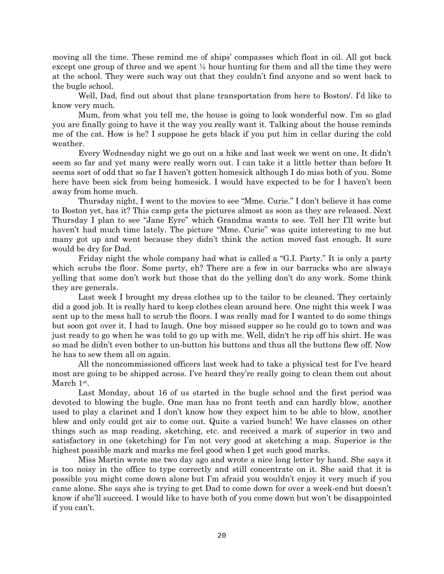moving all the time. These remind me of ships' compasses which float in oil. All got back except one group of three and we spent  $\frac{1}{2}$  hour hunting for them and all the time they were at the school. They were such way out that they couldn't find anyone and so went back to the bugle school.

Well, Dad, find out about that plane transportation from here to Boston/. I'd like to know very much.

Mum, from what you tell me, the house is going to look wonderful now. I'm so glad you are finally going to have it the way you really want it. Talking about the house reminds me of the cat. How is he? I suppose he gets black if you put him in cellar during the cold weather.

Every Wednesday night we go out on a hike and last week we went on one. It didn't seem so far and yet many were really worn out. I can take it a little better than before It seems sort of odd that so far I haven't gotten homesick although I do miss both of you. Some here have been sick from being homesick. I would have expected to be for I haven't been away from home much.

Thursday night, I went to the movies to see "Mme. Curie." I don't believe it has come to Boston yet, has it? This camp gets the pictures almost as soon as they are released. Next Thursday I plan to see "Jane Eyre" which Grandma wants to see. Tell her I'll write but haven't had much time lately. The picture "Mme. Curie" was quite interesting to me but many got up and went because they didn't think the action moved fast enough. It sure would be dry for Dad.

Friday night the whole company had what is called a "G.I. Party." It is only a party which scrubs the floor. Some party, eh? There are a few in our barracks who are always yelling that some don't work but those that do the yelling don't do any work. Some think they are generals.

Last week I brought my dress clothes up to the tailor to be cleaned. They certainly did a good job. It is really hard to keep clothes clean around here. One night this week I was sent up to the mess hall to scrub the floors. I was really mad for I wanted to do some things but soon got over it. I had to laugh. One boy missed supper so he could go to town and was just ready to go when he was told to go up with me. Well, didn't he rip off his shirt. He was so mad he didn't even bother to un-button his buttons and thus all the buttons flew off. Now he has to sew them all on again.

All the noncommissioned officers last week had to take a physical test for I've heard most are going to be shipped across. I've heard they're really going to clean them out about March 1<sup>st</sup>.

Last Monday, about 16 of us started in the bugle school and the first period was devoted to blowing the bugle. One man has no front teeth and can hardly blow, another used to play a clarinet and I don't know how they expect him to be able to blow, another blew and only could get air to come out. Quite a varied bunch! We have classes on other things such as map reading, sketching, etc. and received a mark of superior in two and satisfactory in one (sketching) for I'm not very good at sketching a map. Superior is the highest possible mark and marks me feel good when I get such good marks.

Miss Martin wrote me two day ago and wrote a nice long letter by hand. She says it is too noisy in the office to type correctly and still concentrate on it. She said that it is possible you might come down alone but I'm afraid you wouldn't enjoy it very much if you came alone. She says she is trying to get Dad to come down for over a week-end but doesn't know if she'll succeed. I would like to have both of you come down but won't be disappointed if you can't.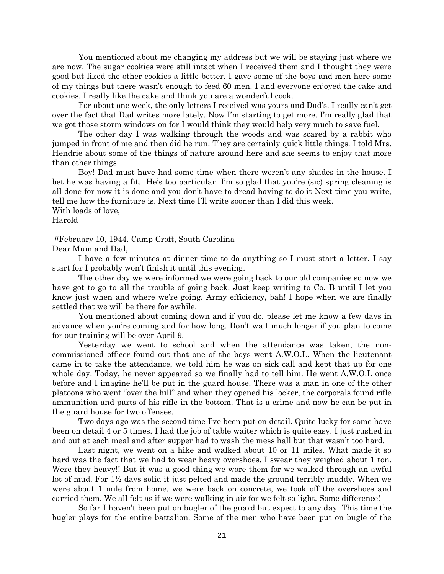You mentioned about me changing my address but we will be staying just where we are now. The sugar cookies were still intact when I received them and I thought they were good but liked the other cookies a little better. I gave some of the boys and men here some of my things but there wasn't enough to feed 60 men. I and everyone enjoyed the cake and cookies. I really like the cake and think you are a wonderful cook.

For about one week, the only letters I received was yours and Dad's. I really can't get over the fact that Dad writes more lately. Now I'm starting to get more. I'm really glad that we got those storm windows on for I would think they would help very much to save fuel.

The other day I was walking through the woods and was scared by a rabbit who jumped in front of me and then did he run. They are certainly quick little things. I told Mrs. Hendrie about some of the things of nature around here and she seems to enjoy that more than other things.

Boy! Dad must have had some time when there weren't any shades in the house. I bet he was having a fit. He's too particular. I'm so glad that you're (sic) spring cleaning is all done for now it is done and you don't have to dread having to do it Next time you write, tell me how the furniture is. Next time I'll write sooner than I did this week.

# With loads of love,

Harold

#February 10, 1944. Camp Croft, South Carolina

Dear Mum and Dad,

I have a few minutes at dinner time to do anything so I must start a letter. I say start for I probably won't finish it until this evening.

The other day we were informed we were going back to our old companies so now we have got to go to all the trouble of going back. Just keep writing to Co. B until I let you know just when and where we're going. Army efficiency, bah! I hope when we are finally settled that we will be there for awhile.

You mentioned about coming down and if you do, please let me know a few days in advance when you're coming and for how long. Don't wait much longer if you plan to come for our training will be over April 9.

Yesterday we went to school and when the attendance was taken, the noncommissioned officer found out that one of the boys went A.W.O.L. When the lieutenant came in to take the attendance, we told him he was on sick call and kept that up for one whole day. Today, he never appeared so we finally had to tell him. He went A.W.O.L once before and I imagine he'll be put in the guard house. There was a man in one of the other platoons who went "over the hill" and when they opened his locker, the corporals found rifle ammunition and parts of his rifle in the bottom. That is a crime and now he can be put in the guard house for two offenses.

Two days ago was the second time I've been put on detail. Quite lucky for some have been on detail 4 or 5 times. I had the job of table waiter which is quite easy. I just rushed in and out at each meal and after supper had to wash the mess hall but that wasn't too hard.

Last night, we went on a hike and walked about 10 or 11 miles. What made it so hard was the fact that we had to wear heavy overshoes. I swear they weighed about 1 ton. Were they heavy!! But it was a good thing we wore them for we walked through an awful lot of mud. For 1½ days solid it just pelted and made the ground terribly muddy. When we were about 1 mile from home, we were back on concrete, we took off the overshoes and carried them. We all felt as if we were walking in air for we felt so light. Some difference!

So far I haven't been put on bugler of the guard but expect to any day. This time the bugler plays for the entire battalion. Some of the men who have been put on bugle of the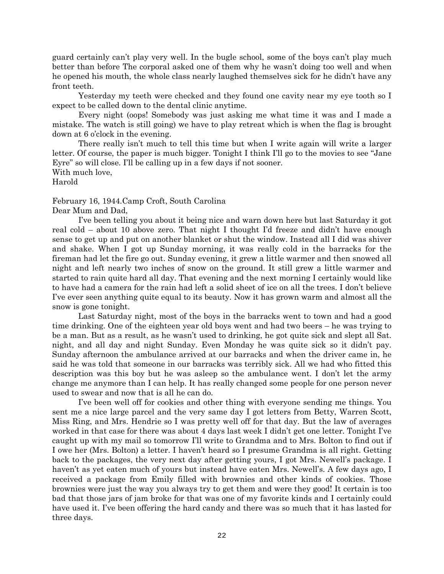guard certainly can't play very well. In the bugle school, some of the boys can't play much better than before The corporal asked one of them why he wasn't doing too well and when he opened his mouth, the whole class nearly laughed themselves sick for he didn't have any front teeth.

Yesterday my teeth were checked and they found one cavity near my eye tooth so I expect to be called down to the dental clinic anytime.

Every night (oops! Somebody was just asking me what time it was and I made a mistake. The watch is still going) we have to play retreat which is when the flag is brought down at 6 o'clock in the evening.

There really isn't much to tell this time but when I write again will write a larger letter. Of course, the paper is much bigger. Tonight I think I'll go to the movies to see "Jane Eyre" so will close. I'll be calling up in a few days if not sooner.

With much love,

Harold

February 16, 1944.Camp Croft, South Carolina Dear Mum and Dad,

I've been telling you about it being nice and warn down here but last Saturday it got real cold – about 10 above zero. That night I thought I'd freeze and didn't have enough sense to get up and put on another blanket or shut the window. Instead all I did was shiver and shake. When I got up Sunday morning, it was really cold in the barracks for the fireman had let the fire go out. Sunday evening, it grew a little warmer and then snowed all night and left nearly two inches of snow on the ground. It still grew a little warmer and started to rain quite hard all day. That evening and the next morning I certainly would like to have had a camera for the rain had left a solid sheet of ice on all the trees. I don't believe I've ever seen anything quite equal to its beauty. Now it has grown warm and almost all the snow is gone tonight.

Last Saturday night, most of the boys in the barracks went to town and had a good time drinking. One of the eighteen year old boys went and had two beers – he was trying to be a man. But as a result, as he wasn't used to drinking, he got quite sick and slept all Sat. night, and all day and night Sunday. Even Monday he was quite sick so it didn't pay. Sunday afternoon the ambulance arrived at our barracks and when the driver came in, he said he was told that someone in our barracks was terribly sick. All we had who fitted this description was this boy but he was asleep so the ambulance went. I don't let the army change me anymore than I can help. It has really changed some people for one person never used to swear and now that is all he can do.

I've been well off for cookies and other thing with everyone sending me things. You sent me a nice large parcel and the very same day I got letters from Betty, Warren Scott, Miss Ring, and Mrs. Hendrie so I was pretty well off for that day. But the law of averages worked in that case for there was about 4 days last week I didn't get one letter. Tonight I've caught up with my mail so tomorrow I'll write to Grandma and to Mrs. Bolton to find out if I owe her (Mrs. Bolton) a letter. I haven't heard so I presume Grandma is all right. Getting back to the packages, the very next day after getting yours, I got Mrs. Newell's package. I haven't as yet eaten much of yours but instead have eaten Mrs. Newell's. A few days ago, I received a package from Emily filled with brownies and other kinds of cookies. Those brownies were just the way you always try to get them and were they good! It certain is too bad that those jars of jam broke for that was one of my favorite kinds and I certainly could have used it. I've been offering the hard candy and there was so much that it has lasted for three days.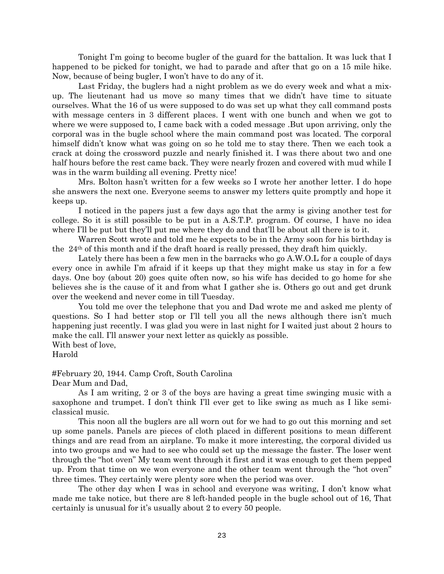Tonight I'm going to become bugler of the guard for the battalion. It was luck that I happened to be picked for tonight, we had to parade and after that go on a 15 mile hike. Now, because of being bugler, I won't have to do any of it.

Last Friday, the buglers had a night problem as we do every week and what a mixup. The lieutenant had us move so many times that we didn't have time to situate ourselves. What the 16 of us were supposed to do was set up what they call command posts with message centers in 3 different places. I went with one bunch and when we got to where we were supposed to, I came back with a coded message. But upon arriving, only the corporal was in the bugle school where the main command post was located. The corporal himself didn't know what was going on so he told me to stay there. Then we each took a crack at doing the crossword puzzle and nearly finished it. I was there about two and one half hours before the rest came back. They were nearly frozen and covered with mud while I was in the warm building all evening. Pretty nice!

Mrs. Bolton hasn't written for a few weeks so I wrote her another letter. I do hope she answers the next one. Everyone seems to answer my letters quite promptly and hope it keeps up.

I noticed in the papers just a few days ago that the army is giving another test for college. So it is still possible to be put in a A.S.T.P. program. Of course, I have no idea where I'll be put but they'll put me where they do and that'll be about all there is to it.

Warren Scott wrote and told me he expects to be in the Army soon for his birthday is the 24th of this month and if the draft hoard is really pressed, they draft him quickly.

Lately there has been a few men in the barracks who go A.W.O.L for a couple of days every once in awhile I'm afraid if it keeps up that they might make us stay in for a few days. One boy (about 20) goes quite often now, so his wife has decided to go home for she believes she is the cause of it and from what I gather she is. Others go out and get drunk over the weekend and never come in till Tuesday.

You told me over the telephone that you and Dad wrote me and asked me plenty of questions. So I had better stop or I'll tell you all the news although there isn't much happening just recently. I was glad you were in last night for I waited just about 2 hours to make the call. I'll answer your next letter as quickly as possible.

With best of love, Harold

#February 20, 1944. Camp Croft, South Carolina

Dear Mum and Dad,

As I am writing, 2 or 3 of the boys are having a great time swinging music with a saxophone and trumpet. I don't think I'll ever get to like swing as much as I like semiclassical music.

This noon all the buglers are all worn out for we had to go out this morning and set up some panels. Panels are pieces of cloth placed in different positions to mean different things and are read from an airplane. To make it more interesting, the corporal divided us into two groups and we had to see who could set up the message the faster. The loser went through the "hot oven" My team went through it first and it was enough to get them pepped up. From that time on we won everyone and the other team went through the "hot oven" three times. They certainly were plenty sore when the period was over.

The other day when I was in school and everyone was writing, I don't know what made me take notice, but there are 8 left-handed people in the bugle school out of 16, That certainly is unusual for it's usually about 2 to every 50 people.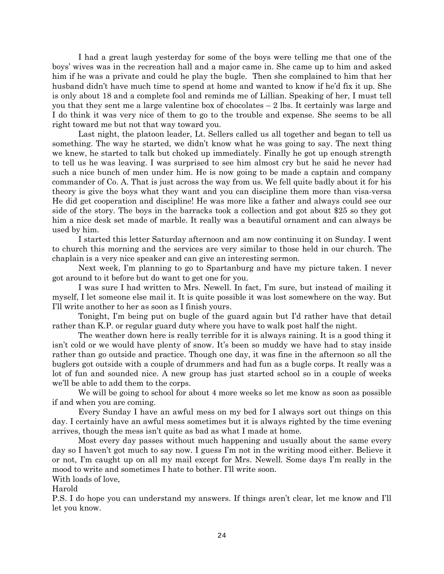I had a great laugh yesterday for some of the boys were telling me that one of the boys' wives was in the recreation hall and a major came in. She came up to him and asked him if he was a private and could he play the bugle. Then she complained to him that her husband didn't have much time to spend at home and wanted to know if he'd fix it up. She is only about 18 and a complete fool and reminds me of Lillian. Speaking of her, I must tell you that they sent me a large valentine box of chocolates – 2 lbs. It certainly was large and I do think it was very nice of them to go to the trouble and expense. She seems to be all right toward me but not that way toward you.

Last night, the platoon leader, Lt. Sellers called us all together and began to tell us something. The way he started, we didn't know what he was going to say. The next thing we knew, he started to talk but choked up immediately. Finally he got up enough strength to tell us he was leaving. I was surprised to see him almost cry but he said he never had such a nice bunch of men under him. He is now going to be made a captain and company commander of Co. A. That is just across the way from us. We fell quite badly about it for his theory is give the boys what they want and you can discipline them more than visa-versa He did get cooperation and discipline! He was more like a father and always could see our side of the story. The boys in the barracks took a collection and got about \$25 so they got him a nice desk set made of marble. It really was a beautiful ornament and can always be used by him.

I started this letter Saturday afternoon and am now continuing it on Sunday. I went to church this morning and the services are very similar to those held in our church. The chaplain is a very nice speaker and can give an interesting sermon.

Next week, I'm planning to go to Spartanburg and have my picture taken. I never got around to it before but do want to get one for you.

I was sure I had written to Mrs. Newell. In fact, I'm sure, but instead of mailing it myself, I let someone else mail it. It is quite possible it was lost somewhere on the way. But I'll write another to her as soon as I finish yours.

Tonight, I'm being put on bugle of the guard again but I'd rather have that detail rather than K.P. or regular guard duty where you have to walk post half the night.

The weather down here is really terrible for it is always raining. It is a good thing it isn't cold or we would have plenty of snow. It's been so muddy we have had to stay inside rather than go outside and practice. Though one day, it was fine in the afternoon so all the buglers got outside with a couple of drummers and had fun as a bugle corps. It really was a lot of fun and sounded nice. A new group has just started school so in a couple of weeks we'll be able to add them to the corps.

We will be going to school for about 4 more weeks so let me know as soon as possible if and when you are coming.

Every Sunday I have an awful mess on my bed for I always sort out things on this day. I certainly have an awful mess sometimes but it is always righted by the time evening arrives, though the mess isn't quite as bad as what I made at home.

Most every day passes without much happening and usually about the same every day so I haven't got much to say now. I guess I'm not in the writing mood either. Believe it or not, I'm caught up on all my mail except for Mrs. Newell. Some days I'm really in the mood to write and sometimes I hate to bother. I'll write soon.

With loads of love,

Harold

P.S. I do hope you can understand my answers. If things aren't clear, let me know and I'll let you know.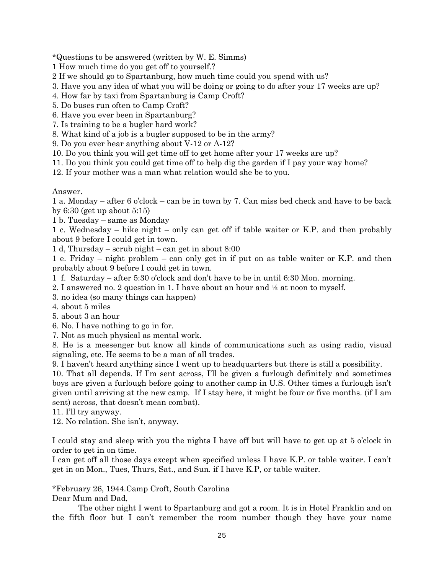\*Questions to be answered (written by W. E. Simms)

1 How much time do you get off to yourself.?

2 If we should go to Spartanburg, how much time could you spend with us?

3. Have you any idea of what you will be doing or going to do after your 17 weeks are up?

4. How far by taxi from Spartanburg is Camp Croft?

5. Do buses run often to Camp Croft?

6. Have you ever been in Spartanburg?

7. Is training to be a bugler hard work?

8. What kind of a job is a bugler supposed to be in the army?

9. Do you ever hear anything about V-12 or A-12?

10. Do you think you will get time off to get home after your 17 weeks are up?

11. Do you think you could get time off to help dig the garden if I pay your way home?

12. If your mother was a man what relation would she be to you.

Answer.

1 a. Monday – after 6 o'clock – can be in town by 7. Can miss bed check and have to be back by  $6:30$  (get up about  $5:15$ )

1 b. Tuesday – same as Monday

1 c. Wednesday – hike night – only can get off if table waiter or K.P. and then probably about 9 before I could get in town.

1 d, Thursday – scrub night – can get in about 8:00

1 e. Friday – night problem – can only get in if put on as table waiter or K.P. and then probably about 9 before I could get in town.

1 f. Saturday – after 5:30 o'clock and don't have to be in until 6:30 Mon. morning.

2. I answered no. 2 question in 1. I have about an hour and ½ at noon to myself.

3. no idea (so many things can happen)

4. about 5 miles

5. about 3 an hour

6. No. I have nothing to go in for.

7. Not as much physical as mental work.

8. He is a messenger but know all kinds of communications such as using radio, visual signaling, etc. He seems to be a man of all trades.

9. I haven't heard anything since I went up to headquarters but there is still a possibility.

10. That all depends. If I'm sent across, I'll be given a furlough definitely and sometimes boys are given a furlough before going to another camp in U.S. Other times a furlough isn't given until arriving at the new camp. If I stay here, it might be four or five months. (if I am sent) across, that doesn't mean combat).

11. I'll try anyway.

12. No relation. She isn't, anyway.

I could stay and sleep with you the nights I have off but will have to get up at 5 o'clock in order to get in on time.

I can get off all those days except when specified unless I have K.P. or table waiter. I can't get in on Mon., Tues, Thurs, Sat., and Sun. if I have K.P, or table waiter.

\*February 26, 1944.Camp Croft, South Carolina Dear Mum and Dad,

The other night I went to Spartanburg and got a room. It is in Hotel Franklin and on the fifth floor but I can't remember the room number though they have your name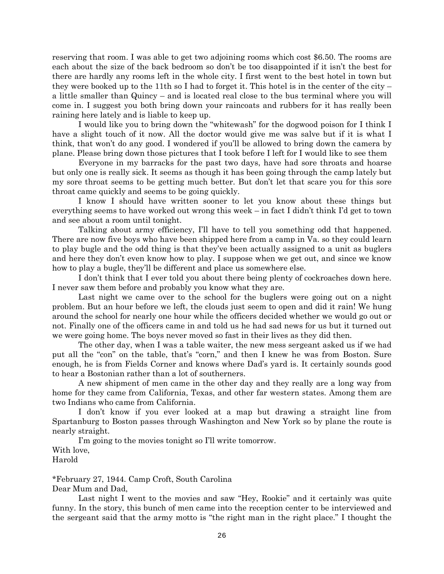reserving that room. I was able to get two adjoining rooms which cost \$6.50. The rooms are each about the size of the back bedroom so don't be too disappointed if it isn't the best for there are hardly any rooms left in the whole city. I first went to the best hotel in town but they were booked up to the 11th so I had to forget it. This hotel is in the center of the city – a little smaller than Quincy – and is located real close to the bus terminal where you will come in. I suggest you both bring down your raincoats and rubbers for it has really been raining here lately and is liable to keep up.

I would like you to bring down the "whitewash" for the dogwood poison for I think I have a slight touch of it now. All the doctor would give me was salve but if it is what I think, that won't do any good. I wondered if you'll be allowed to bring down the camera by plane. Please bring down those pictures that I took before I left for I would like to see them

Everyone in my barracks for the past two days, have had sore throats and hoarse but only one is really sick. It seems as though it has been going through the camp lately but my sore throat seems to be getting much better. But don't let that scare you for this sore throat came quickly and seems to be going quickly.

I know I should have written sooner to let you know about these things but everything seems to have worked out wrong this week – in fact I didn't think I'd get to town and see about a room until tonight.

Talking about army efficiency, I'll have to tell you something odd that happened. There are now five boys who have been shipped here from a camp in Va. so they could learn to play bugle and the odd thing is that they've been actually assigned to a unit as buglers and here they don't even know how to play. I suppose when we get out, and since we know how to play a bugle, they'll be different and place us somewhere else.

I don't think that I ever told you about there being plenty of cockroaches down here. I never saw them before and probably you know what they are.

Last night we came over to the school for the buglers were going out on a night problem. But an hour before we left, the clouds just seem to open and did it rain! We hung around the school for nearly one hour while the officers decided whether we would go out or not. Finally one of the officers came in and told us he had sad news for us but it turned out we were going home. The boys never moved so fast in their lives as they did then.

The other day, when I was a table waiter, the new mess sergeant asked us if we had put all the "con" on the table, that's "corn," and then I knew he was from Boston. Sure enough, he is from Fields Corner and knows where Dad's yard is. It certainly sounds good to hear a Bostonian rather than a lot of southerners.

A new shipment of men came in the other day and they really are a long way from home for they came from California, Texas, and other far western states. Among them are two Indians who came from California.

I don't know if you ever looked at a map but drawing a straight line from Spartanburg to Boston passes through Washington and New York so by plane the route is nearly straight.

I'm going to the movies tonight so I'll write tomorrow. With love, Harold

\*February 27, 1944. Camp Croft, South Carolina Dear Mum and Dad,

Last night I went to the movies and saw "Hey, Rookie" and it certainly was quite funny. In the story, this bunch of men came into the reception center to be interviewed and the sergeant said that the army motto is "the right man in the right place." I thought the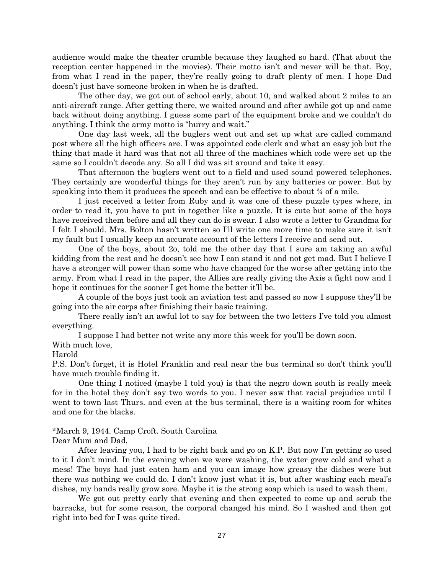audience would make the theater crumble because they laughed so hard. (That about the reception center happened in the movies). Their motto isn't and never will be that. Boy, from what I read in the paper, they're really going to draft plenty of men. I hope Dad doesn't just have someone broken in when he is drafted.

The other day, we got out of school early, about 10, and walked about 2 miles to an anti-aircraft range. After getting there, we waited around and after awhile got up and came back without doing anything. I guess some part of the equipment broke and we couldn't do anything. I think the army motto is "hurry and wait."

One day last week, all the buglers went out and set up what are called command post where all the high officers are. I was appointed code clerk and what an easy job but the thing that made it hard was that not all three of the machines which code were set up the same so I couldn't decode any. So all I did was sit around and take it easy.

That afternoon the buglers went out to a field and used sound powered telephones. They certainly are wonderful things for they aren't run by any batteries or power. But by speaking into them it produces the speech and can be effective to about ¾ of a mile.

I just received a letter from Ruby and it was one of these puzzle types where, in order to read it, you have to put in together like a puzzle. It is cute but some of the boys have received them before and all they can do is swear. I also wrote a letter to Grandma for I felt I should. Mrs. Bolton hasn't written so I'll write one more time to make sure it isn't my fault but I usually keep an accurate account of the letters I receive and send out.

One of the boys, about 2o, told me the other day that I sure am taking an awful kidding from the rest and he doesn't see how I can stand it and not get mad. But I believe I have a stronger will power than some who have changed for the worse after getting into the army. From what I read in the paper, the Allies are really giving the Axis a fight now and I hope it continues for the sooner I get home the better it'll be.

A couple of the boys just took an aviation test and passed so now I suppose they'll be going into the air corps after finishing their basic training.

There really isn't an awful lot to say for between the two letters I've told you almost everything.

I suppose I had better not write any more this week for you'll be down soon.

With much love,

Harold

P.S. Don't forget, it is Hotel Franklin and real near the bus terminal so don't think you'll have much trouble finding it.

One thing I noticed (maybe I told you) is that the negro down south is really meek for in the hotel they don't say two words to you. I never saw that racial prejudice until I went to town last Thurs. and even at the bus terminal, there is a waiting room for whites and one for the blacks.

# \*March 9, 1944. Camp Croft. South Carolina

Dear Mum and Dad,

After leaving you, I had to be right back and go on K.P. But now I'm getting so used to it I don't mind. In the evening when we were washing, the water grew cold and what a mess! The boys had just eaten ham and you can image how greasy the dishes were but there was nothing we could do. I don't know just what it is, but after washing each meal's dishes, my hands really grow sore. Maybe it is the strong soap which is used to wash them.

We got out pretty early that evening and then expected to come up and scrub the barracks, but for some reason, the corporal changed his mind. So I washed and then got right into bed for I was quite tired.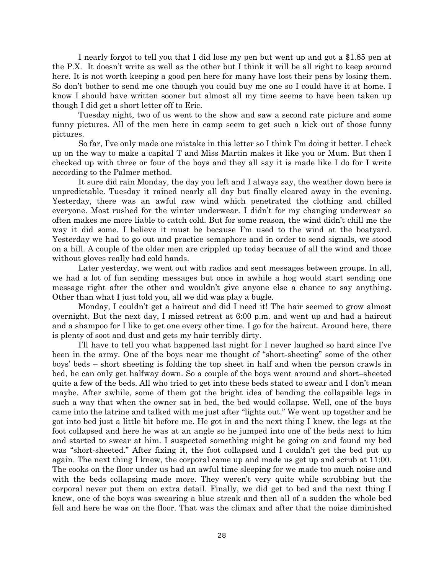I nearly forgot to tell you that I did lose my pen but went up and got a \$1.85 pen at the P.X. It doesn't write as well as the other but I think it will be all right to keep around here. It is not worth keeping a good pen here for many have lost their pens by losing them. So don't bother to send me one though you could buy me one so I could have it at home. I know I should have written sooner but almost all my time seems to have been taken up though I did get a short letter off to Eric.

Tuesday night, two of us went to the show and saw a second rate picture and some funny pictures. All of the men here in camp seem to get such a kick out of those funny pictures.

So far, I've only made one mistake in this letter so I think I'm doing it better. I check up on the way to make a capital T and Miss Martin makes it like you or Mum. But then I checked up with three or four of the boys and they all say it is made like I do for I write according to the Palmer method.

It sure did rain Monday, the day you left and I always say, the weather down here is unpredictable. Tuesday it rained nearly all day but finally cleared away in the evening. Yesterday, there was an awful raw wind which penetrated the clothing and chilled everyone. Most rushed for the winter underwear. I didn't for my changing underwear so often makes me more liable to catch cold. But for some reason, the wind didn't chill me the way it did some. I believe it must be because I'm used to the wind at the boatyard. Yesterday we had to go out and practice semaphore and in order to send signals, we stood on a hill. A couple of the older men are crippled up today because of all the wind and those without gloves really had cold hands.

Later yesterday, we went out with radios and sent messages between groups. In all, we had a lot of fun sending messages but once in awhile a hog would start sending one message right after the other and wouldn't give anyone else a chance to say anything. Other than what I just told you, all we did was play a bugle.

Monday, I couldn't get a haircut and did I need it! The hair seemed to grow almost overnight. But the next day, I missed retreat at 6:00 p.m. and went up and had a haircut and a shampoo for I like to get one every other time. I go for the haircut. Around here, there is plenty of soot and dust and gets my hair terribly dirty.

I'll have to tell you what happened last night for I never laughed so hard since I've been in the army. One of the boys near me thought of "short-sheeting" some of the other boys' beds – short sheeting is folding the top sheet in half and when the person crawls in bed, he can only get halfway down. So a couple of the boys went around and short–sheeted quite a few of the beds. All who tried to get into these beds stated to swear and I don't mean maybe. After awhile, some of them got the bright idea of bending the collapsible legs in such a way that when the owner sat in bed, the bed would collapse. Well, one of the boys came into the latrine and talked with me just after "lights out." We went up together and he got into bed just a little bit before me. He got in and the next thing I knew, the legs at the foot collapsed and here he was at an angle so he jumped into one of the beds next to him and started to swear at him. I suspected something might be going on and found my bed was "short-sheeted." After fixing it, the foot collapsed and I couldn't get the bed put up again. The next thing I knew, the corporal came up and made us get up and scrub at 11:00. The cooks on the floor under us had an awful time sleeping for we made too much noise and with the beds collapsing made more. They weren't very quite while scrubbing but the corporal never put them on extra detail. Finally, we did get to bed and the next thing I knew, one of the boys was swearing a blue streak and then all of a sudden the whole bed fell and here he was on the floor. That was the climax and after that the noise diminished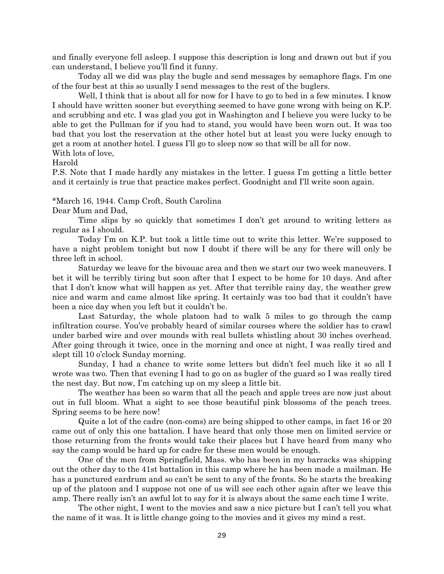and finally everyone fell asleep. I suppose this description is long and drawn out but if you can understand, I believe you'll find it funny.

Today all we did was play the bugle and send messages by semaphore flags. I'm one of the four best at this so usually I send messages to the rest of the buglers.

Well, I think that is about all for now for I have to go to bed in a few minutes. I know I should have written sooner but everything seemed to have gone wrong with being on K.P. and scrubbing and etc. I was glad you got in Washington and I believe you were lucky to be able to get the Pullman for if you had to stand, you would have been worn out. It was too bad that you lost the reservation at the other hotel but at least you were lucky enough to get a room at another hotel. I guess I'll go to sleep now so that will be all for now.

With lots of love,

Harold

P.S. Note that I made hardly any mistakes in the letter. I guess I'm getting a little better and it certainly is true that practice makes perfect. Goodnight and I'll write soon again.

\*March 16, 1944. Camp Croft, South Carolina

Dear Mum and Dad,

Time slips by so quickly that sometimes I don't get around to writing letters as regular as I should.

Today I'm on K.P. but took a little time out to write this letter. We're supposed to have a night problem tonight but now I doubt if there will be any for there will only be three left in school.

Saturday we leave for the bivouac area and then we start our two week maneuvers. I bet it will be terribly tiring but soon after that I expect to be home for 10 days. And after that I don't know what will happen as yet. After that terrible rainy day, the weather grew nice and warm and came almost like spring. It certainly was too bad that it couldn't have been a nice day when you left but it couldn't be.

Last Saturday, the whole platoon had to walk 5 miles to go through the camp infiltration course. You've probably heard of similar courses where the soldier has to crawl under barbed wire and over mounds with real bullets whistling about 30 inches overhead. After going through it twice, once in the morning and once at night, I was really tired and slept till 10 o'clock Sunday morning.

Sunday, I had a chance to write some letters but didn't feel much like it so all I wrote was two. Then that evening I had to go on as bugler of the guard so I was really tired the nest day. But now, I'm catching up on my sleep a little bit.

The weather has been so warm that all the peach and apple trees are now just about out in full bloom. What a sight to see those beautiful pink blossoms of the peach trees. Spring seems to be here now!

Quite a lot of the cadre (non-coms) are being shipped to other camps, in fact 16 or 20 came out of only this one battalion. I have heard that only those men on limited service or those returning from the fronts would take their places but I have heard from many who say the camp would be hard up for cadre for these men would be enough.

One of the men from Springfield, Mass. who has been in my barracks was shipping out the other day to the 41st battalion in this camp where he has been made a mailman. He has a punctured eardrum and so can't be sent to any of the fronts. So he starts the breaking up of the platoon and I suppose not one of us will see each other again after we leave this amp. There really isn't an awful lot to say for it is always about the same each time I write.

The other night, I went to the movies and saw a nice picture but I can't tell you what the name of it was. It is little change going to the movies and it gives my mind a rest.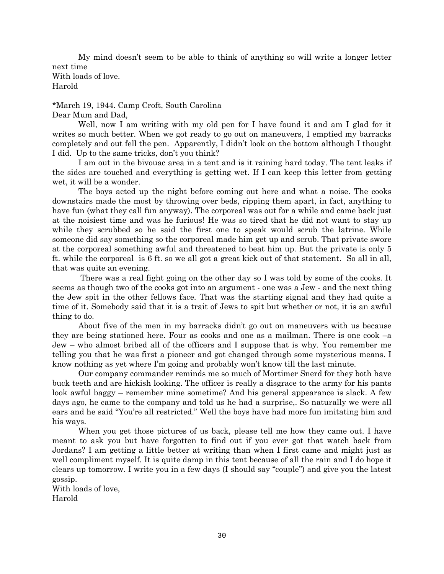My mind doesn't seem to be able to think of anything so will write a longer letter next time With loads of love. Harold

\*March 19, 1944. Camp Croft, South Carolina Dear Mum and Dad,

Well, now I am writing with my old pen for I have found it and am I glad for it writes so much better. When we got ready to go out on maneuvers, I emptied my barracks completely and out fell the pen. Apparently, I didn't look on the bottom although I thought I did. Up to the same tricks, don't you think?

I am out in the bivouac area in a tent and is it raining hard today. The tent leaks if the sides are touched and everything is getting wet. If I can keep this letter from getting wet, it will be a wonder.

The boys acted up the night before coming out here and what a noise. The cooks downstairs made the most by throwing over beds, ripping them apart, in fact, anything to have fun (what they call fun anyway). The corporeal was out for a while and came back just at the noisiest time and was he furious! He was so tired that he did not want to stay up while they scrubbed so he said the first one to speak would scrub the latrine. While someone did say something so the corporeal made him get up and scrub. That private swore at the corporeal something awful and threatened to beat him up. But the private is only 5 ft. while the corporeal is 6 ft. so we all got a great kick out of that statement. So all in all, that was quite an evening.

There was a real fight going on the other day so I was told by some of the cooks. It seems as though two of the cooks got into an argument - one was a Jew - and the next thing the Jew spit in the other fellows face. That was the starting signal and they had quite a time of it. Somebody said that it is a trait of Jews to spit but whether or not, it is an awful thing to do.

About five of the men in my barracks didn't go out on maneuvers with us because they are being stationed here. Four as cooks and one as a mailman. There is one cook –a Jew – who almost bribed all of the officers and I suppose that is why. You remember me telling you that he was first a pioneer and got changed through some mysterious means. I know nothing as yet where I'm going and probably won't know till the last minute.

Our company commander reminds me so much of Mortimer Snerd for they both have buck teeth and are hickish looking. The officer is really a disgrace to the army for his pants look awful baggy – remember mine sometime? And his general appearance is slack. A few days ago, he came to the company and told us he had a surprise,. So naturally we were all ears and he said "You're all restricted." Well the boys have had more fun imitating him and his ways.

When you get those pictures of us back, please tell me how they came out. I have meant to ask you but have forgotten to find out if you ever got that watch back from Jordans? I am getting a little better at writing than when I first came and might just as well compliment myself. It is quite damp in this tent because of all the rain and I do hope it clears up tomorrow. I write you in a few days (I should say "couple") and give you the latest gossip.

With loads of love, Harold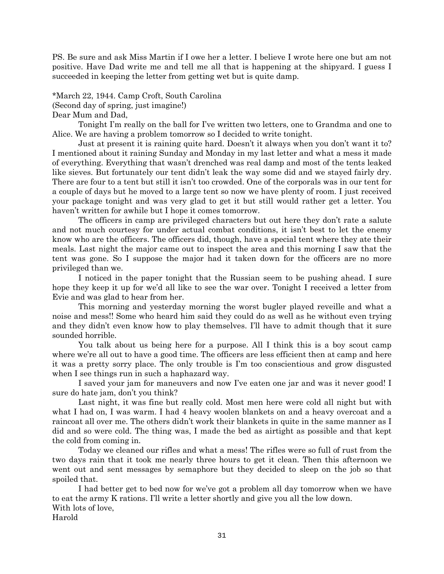PS. Be sure and ask Miss Martin if I owe her a letter. I believe I wrote here one but am not positive. Have Dad write me and tell me all that is happening at the shipyard. I guess I succeeded in keeping the letter from getting wet but is quite damp.

\*March 22, 1944. Camp Croft, South Carolina (Second day of spring, just imagine!) Dear Mum and Dad,

Tonight I'm really on the ball for I've written two letters, one to Grandma and one to Alice. We are having a problem tomorrow so I decided to write tonight.

Just at present it is raining quite hard. Doesn't it always when you don't want it to? I mentioned about it raining Sunday and Monday in my last letter and what a mess it made of everything. Everything that wasn't drenched was real damp and most of the tents leaked like sieves. But fortunately our tent didn't leak the way some did and we stayed fairly dry. There are four to a tent but still it isn't too crowded. One of the corporals was in our tent for a couple of days but he moved to a large tent so now we have plenty of room. I just received your package tonight and was very glad to get it but still would rather get a letter. You haven't written for awhile but I hope it comes tomorrow.

The officers in camp are privileged characters but out here they don't rate a salute and not much courtesy for under actual combat conditions, it isn't best to let the enemy know who are the officers. The officers did, though, have a special tent where they ate their meals. Last night the major came out to inspect the area and this morning I saw that the tent was gone. So I suppose the major had it taken down for the officers are no more privileged than we.

I noticed in the paper tonight that the Russian seem to be pushing ahead. I sure hope they keep it up for we'd all like to see the war over. Tonight I received a letter from Evie and was glad to hear from her.

This morning and yesterday morning the worst bugler played reveille and what a noise and mess!! Some who heard him said they could do as well as he without even trying and they didn't even know how to play themselves. I'll have to admit though that it sure sounded horrible.

You talk about us being here for a purpose. All I think this is a boy scout camp where we're all out to have a good time. The officers are less efficient then at camp and here it was a pretty sorry place. The only trouble is I'm too conscientious and grow disgusted when I see things run in such a haphazard way.

I saved your jam for maneuvers and now I've eaten one jar and was it never good! I sure do hate jam, don't you think?

Last night, it was fine but really cold. Most men here were cold all night but with what I had on, I was warm. I had 4 heavy woolen blankets on and a heavy overcoat and a raincoat all over me. The others didn't work their blankets in quite in the same manner as I did and so were cold. The thing was, I made the bed as airtight as possible and that kept the cold from coming in.

Today we cleaned our rifles and what a mess! The rifles were so full of rust from the two days rain that it took me nearly three hours to get it clean. Then this afternoon we went out and sent messages by semaphore but they decided to sleep on the job so that spoiled that.

I had better get to bed now for we've got a problem all day tomorrow when we have to eat the army K rations. I'll write a letter shortly and give you all the low down. With lots of love,

Harold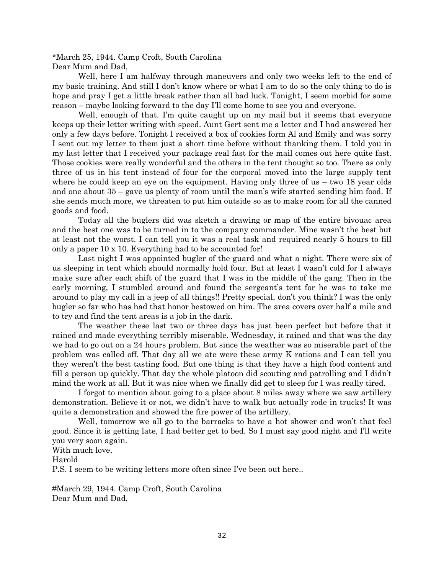\*March 25, 1944. Camp Croft, South Carolina Dear Mum and Dad,

Well, here I am halfway through maneuvers and only two weeks left to the end of my basic training. And still I don't know where or what I am to do so the only thing to do is hope and pray I get a little break rather than all bad luck. Tonight, I seem morbid for some reason – maybe looking forward to the day I'll come home to see you and everyone.

Well, enough of that. I'm quite caught up on my mail but it seems that everyone keeps up their letter writing with speed. Aunt Gert sent me a letter and I had answered her only a few days before. Tonight I received a box of cookies form Al and Emily and was sorry I sent out my letter to them just a short time before without thanking them. I told you in my last letter that I received your package real fast for the mail comes out here quite fast. Those cookies were really wonderful and the others in the tent thought so too. There as only three of us in his tent instead of four for the corporal moved into the large supply tent where he could keep an eye on the equipment. Having only three of us – two 18 year olds and one about 35 – gave us plenty of room until the man's wife started sending him food. If she sends much more, we threaten to put him outside so as to make room for all the canned goods and food.

Today all the buglers did was sketch a drawing or map of the entire bivouac area and the best one was to be turned in to the company commander. Mine wasn't the best but at least not the worst. I can tell you it was a real task and required nearly 5 hours to fill only a paper 10 x 10. Everything had to be accounted for!

Last night I was appointed bugler of the guard and what a night. There were six of us sleeping in tent which should normally hold four. But at least I wasn't cold for I always make sure after each shift of the guard that I was in the middle of the gang. Then in the early morning, I stumbled around and found the sergeant's tent for he was to take me around to play my call in a jeep of all things!! Pretty special, don't you think? I was the only bugler so far who has had that honor bestowed on him. The area covers over half a mile and to try and find the tent areas is a job in the dark.

The weather these last two or three days has just been perfect but before that it rained and made everything terribly miserable. Wednesday, it rained and that was the day we had to go out on a 24 hours problem. But since the weather was so miserable part of the problem was called off. That day all we ate were these army K rations and I can tell you they weren't the best tasting food. But one thing is that they have a high food content and fill a person up quickly. That day the whole platoon did scouting and patrolling and I didn't mind the work at all. But it was nice when we finally did get to sleep for I was really tired.

I forgot to mention about going to a place about 8 miles away where we saw artillery demonstration. Believe it or not, we didn't have to walk but actually rode in trucks! It was quite a demonstration and showed the fire power of the artillery.

Well, tomorrow we all go to the barracks to have a hot shower and won't that feel good. Since it is getting late, I had better get to bed. So I must say good night and I'll write you very soon again.

With much love,

Harold

P.S. I seem to be writing letters more often since I've been out here..

#March 29, 1944. Camp Croft, South Carolina Dear Mum and Dad,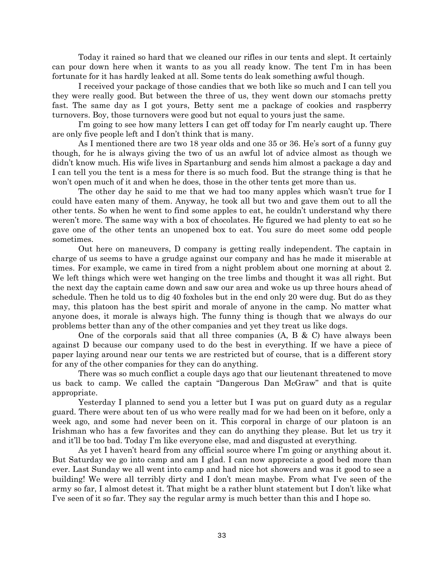Today it rained so hard that we cleaned our rifles in our tents and slept. It certainly can pour down here when it wants to as you all ready know. The tent I'm in has been fortunate for it has hardly leaked at all. Some tents do leak something awful though.

I received your package of those candies that we both like so much and I can tell you they were really good. But between the three of us, they went down our stomachs pretty fast. The same day as I got yours, Betty sent me a package of cookies and raspberry turnovers. Boy, those turnovers were good but not equal to yours just the same.

I'm going to see how many letters I can get off today for I'm nearly caught up. There are only five people left and I don't think that is many.

As I mentioned there are two 18 year olds and one 35 or 36. He's sort of a funny guy though, for he is always giving the two of us an awful lot of advice almost as though we didn't know much. His wife lives in Spartanburg and sends him almost a package a day and I can tell you the tent is a mess for there is so much food. But the strange thing is that he won't open much of it and when he does, those in the other tents get more than us.

The other day he said to me that we had too many apples which wasn't true for I could have eaten many of them. Anyway, he took all but two and gave them out to all the other tents. So when he went to find some apples to eat, he couldn't understand why there weren't more. The same way with a box of chocolates. He figured we had plenty to eat so he gave one of the other tents an unopened box to eat. You sure do meet some odd people sometimes.

Out here on maneuvers, D company is getting really independent. The captain in charge of us seems to have a grudge against our company and has he made it miserable at times. For example, we came in tired from a night problem about one morning at about 2. We left things which were wet hanging on the tree limbs and thought it was all right. But the next day the captain came down and saw our area and woke us up three hours ahead of schedule. Then he told us to dig 40 foxholes but in the end only 20 were dug. But do as they may, this platoon has the best spirit and morale of anyone in the camp. No matter what anyone does, it morale is always high. The funny thing is though that we always do our problems better than any of the other companies and yet they treat us like dogs.

One of the corporals said that all three companies (A, B & C) have always been against D because our company used to do the best in everything. If we have a piece of paper laying around near our tents we are restricted but of course, that is a different story for any of the other companies for they can do anything.

There was so much conflict a couple days ago that our lieutenant threatened to move us back to camp. We called the captain "Dangerous Dan McGraw" and that is quite appropriate.

Yesterday I planned to send you a letter but I was put on guard duty as a regular guard. There were about ten of us who were really mad for we had been on it before, only a week ago, and some had never been on it. This corporal in charge of our platoon is an Irishman who has a few favorites and they can do anything they please. But let us try it and it'll be too bad. Today I'm like everyone else, mad and disgusted at everything.

As yet I haven't heard from any official source where I'm going or anything about it. But Saturday we go into camp and am I glad. I can now appreciate a good bed more than ever. Last Sunday we all went into camp and had nice hot showers and was it good to see a building! We were all terribly dirty and I don't mean maybe. From what I've seen of the army so far, I almost detest it. That might be a rather blunt statement but I don't like what I've seen of it so far. They say the regular army is much better than this and I hope so.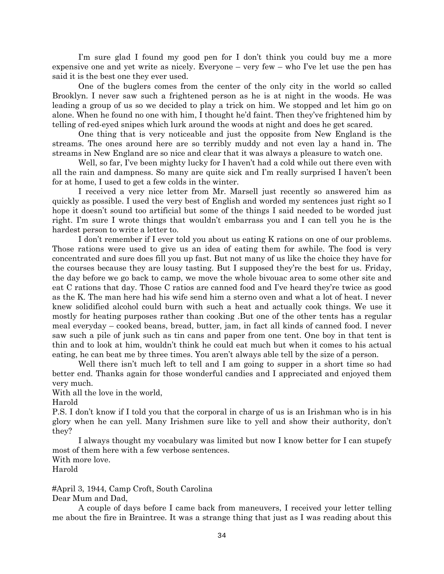I'm sure glad I found my good pen for I don't think you could buy me a more expensive one and yet write as nicely. Everyone – very few – who I've let use the pen has said it is the best one they ever used.

One of the buglers comes from the center of the only city in the world so called Brooklyn. I never saw such a frightened person as he is at night in the woods. He was leading a group of us so we decided to play a trick on him. We stopped and let him go on alone. When he found no one with him, I thought he'd faint. Then they've frightened him by telling of red-eyed snipes which lurk around the woods at night and does he get scared.

One thing that is very noticeable and just the opposite from New England is the streams. The ones around here are so terribly muddy and not even lay a hand in. The streams in New England are so nice and clear that it was always a pleasure to watch one.

Well, so far, I've been mighty lucky for I haven't had a cold while out there even with all the rain and dampness. So many are quite sick and I'm really surprised I haven't been for at home, I used to get a few colds in the winter.

I received a very nice letter from Mr. Marsell just recently so answered him as quickly as possible. I used the very best of English and worded my sentences just right so I hope it doesn't sound too artificial but some of the things I said needed to be worded just right. I'm sure I wrote things that wouldn't embarrass you and I can tell you he is the hardest person to write a letter to.

I don't remember if I ever told you about us eating K rations on one of our problems. Those rations were used to give us an idea of eating them for awhile. The food is very concentrated and sure does fill you up fast. But not many of us like the choice they have for the courses because they are lousy tasting. But I supposed they're the best for us. Friday, the day before we go back to camp, we move the whole bivouac area to some other site and eat C rations that day. Those C ratios are canned food and I've heard they're twice as good as the K. The man here had his wife send him a sterno oven and what a lot of heat. I never knew solidified alcohol could burn with such a heat and actually cook things. We use it mostly for heating purposes rather than cooking .But one of the other tents has a regular meal everyday – cooked beans, bread, butter, jam, in fact all kinds of canned food. I never saw such a pile of junk such as tin cans and paper from one tent. One boy in that tent is thin and to look at him, wouldn't think he could eat much but when it comes to his actual eating, he can beat me by three times. You aren't always able tell by the size of a person.

Well there isn't much left to tell and I am going to supper in a short time so had better end. Thanks again for those wonderful candies and I appreciated and enjoyed them very much.

With all the love in the world,

Harold

P.S. I don't know if I told you that the corporal in charge of us is an Irishman who is in his glory when he can yell. Many Irishmen sure like to yell and show their authority, don't they?

I always thought my vocabulary was limited but now I know better for I can stupefy most of them here with a few verbose sentences.

With more love.

Harold

#April 3, 1944, Camp Croft, South Carolina Dear Mum and Dad,

A couple of days before I came back from maneuvers, I received your letter telling me about the fire in Braintree. It was a strange thing that just as I was reading about this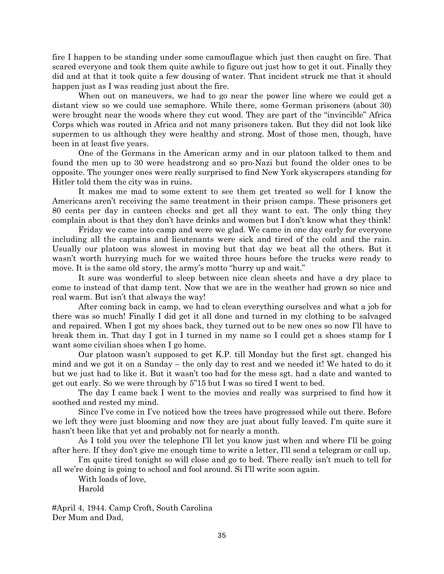fire I happen to be standing under some camouflague which just then caught on fire. That scared everyone and took them quite awhile to figure out just how to get it out. Finally they did and at that it took quite a few dousing of water. That incident struck me that it should happen just as I was reading just about the fire.

When out on maneuvers, we had to go near the power line where we could get a distant view so we could use semaphore. While there, some German prisoners (about 30) were brought near the woods where they cut wood. They are part of the "invincible" Africa Corps which was routed in Africa and not many prisoners taken. But they did not look like supermen to us although they were healthy and strong. Most of those men, though, have been in at least five years.

One of the Germans in the American army and in our platoon talked to them and found the men up to 30 were headstrong and so pro-Nazi but found the older ones to be opposite. The younger ones were really surprised to find New York skyscrapers standing for Hitler told them the city was in ruins.

It makes me mad to some extent to see them get treated so well for I know the Americans aren't receiving the same treatment in their prison camps. These prisoners get 80 cents per day in canteen checks and get all they want to eat. The only thing they complain about is that they don't have drinks and women but I don't know what they think!

Friday we came into camp and were we glad. We came in one day early for everyone including all the captains and lieutenants were sick and tired of the cold and the rain. Usually our platoon was slowest in moving but that day we beat all the others. But it wasn't worth hurrying much for we waited three hours before the trucks were ready to move. It is the same old story, the army's motto "hurry up and wait."

It sure was wonderful to sleep between nice clean sheets and have a dry place to come to instead of that damp tent. Now that we are in the weather had grown so nice and real warm. But isn't that always the way!

After coming back in camp, we had to clean everything ourselves and what a job for there was so much! Finally I did get it all done and turned in my clothing to be salvaged and repaired. When I got my shoes back, they turned out to be new ones so now I'll have to break them in. That day I got in I turned in my name so I could get a shoes stamp for I want some civilian shoes when I go home.

Our platoon wasn't supposed to get K.P. till Monday but the first sgt. changed his mind and we got it on a Sunday – the only day to rest and we needed it! We hated to do it but we just had to like it. But it wasn't too bad for the mess sgt. had a date and wanted to get out early. So we were through by 5"15 but I was so tired I went to bed.

The day I came back I went to the movies and really was surprised to find how it soothed and rested my mind.

Since I've come in I've noticed how the trees have progressed while out there. Before we left they were just blooming and now they are just about fully leaved. I'm quite sure it hasn't been like that yet and probably not for nearly a month.

As I told you over the telephone I'll let you know just when and where I'll be going after here. If they don't give me enough time to write a letter, I'll send a telegram or call up.

I'm quite tired tonight so will close and go to bed. There really isn't much to tell for all we're doing is going to school and fool around. Si I'll write soon again.

With loads of love, Harold

#April 4, 1944. Camp Croft, South Carolina Der Mum and Dad,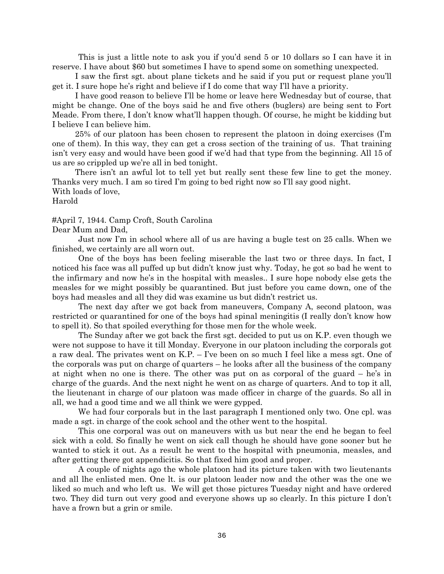This is just a little note to ask you if you'd send 5 or 10 dollars so I can have it in reserve. I have about \$60 but sometimes I have to spend some on something unexpected.

I saw the first sgt. about plane tickets and he said if you put or request plane you'll get it. I sure hope he's right and believe if I do come that way I'll have a priority.

I have good reason to believe I'll be home or leave here Wednesday but of course, that might be change. One of the boys said he and five others (buglers) are being sent to Fort Meade. From there, I don't know what'll happen though. Of course, he might be kidding but I believe I can believe him.

25% of our platoon has been chosen to represent the platoon in doing exercises (I'm one of them). In this way, they can get a cross section of the training of us. That training isn't very easy and would have been good if we'd had that type from the beginning. All 15 of us are so crippled up we're all in bed tonight.

There isn't an awful lot to tell yet but really sent these few line to get the money. Thanks very much. I am so tired I'm going to bed right now so I'll say good night. With loads of love, Harold

#April 7, 1944. Camp Croft, South Carolina

Dear Mum and Dad,

Just now I'm in school where all of us are having a bugle test on 25 calls. When we finished, we certainly are all worn out.

One of the boys has been feeling miserable the last two or three days. In fact, I noticed his face was all puffed up but didn't know just why. Today, he got so bad he went to the infirmary and now he's in the hospital with measles.. I sure hope nobody else gets the measles for we might possibly be quarantined. But just before you came down, one of the boys had measles and all they did was examine us but didn't restrict us.

The next day after we got back from maneuvers, Company A, second platoon, was restricted or quarantined for one of the boys had spinal meningitis (I really don't know how to spell it). So that spoiled everything for those men for the whole week.

The Sunday after we got back the first sgt. decided to put us on K.P. even though we were not suppose to have it till Monday. Everyone in our platoon including the corporals got a raw deal. The privates went on K.P. – I've been on so much I feel like a mess sgt. One of the corporals was put on charge of quarters – he looks after all the business of the company at night when no one is there. The other was put on as corporal of the guard – he's in charge of the guards. And the next night he went on as charge of quarters. And to top it all, the lieutenant in charge of our platoon was made officer in charge of the guards. So all in all, we had a good time and we all think we were gypped.

We had four corporals but in the last paragraph I mentioned only two. One cpl. was made a sgt. in charge of the cook school and the other went to the hospital.

This one corporal was out on maneuvers with us but near the end he began to feel sick with a cold. So finally he went on sick call though he should have gone sooner but he wanted to stick it out. As a result he went to the hospital with pneumonia, measles, and after getting there got appendicitis. So that fixed him good and proper.

A couple of nights ago the whole platoon had its picture taken with two lieutenants and all lhe enlisted men. One lt. is our platoon leader now and the other was the one we liked so much and who left us. We will get those pictures Tuesday night and have ordered two. They did turn out very good and everyone shows up so clearly. In this picture I don't have a frown but a grin or smile.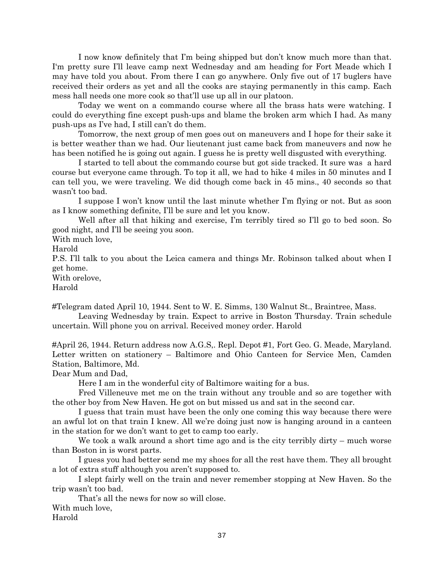I now know definitely that I'm being shipped but don't know much more than that. I'm pretty sure I'll leave camp next Wednesday and am heading for Fort Meade which I may have told you about. From there I can go anywhere. Only five out of 17 buglers have received their orders as yet and all the cooks are staying permanently in this camp. Each mess hall needs one more cook so that'll use up all in our platoon.

Today we went on a commando course where all the brass hats were watching. I could do everything fine except push-ups and blame the broken arm which I had. As many push-ups as I've had, I still can't do them.

Tomorrow, the next group of men goes out on maneuvers and I hope for their sake it is better weather than we had. Our lieutenant just came back from maneuvers and now he has been notified he is going out again. I guess he is pretty well disgusted with everything.

I started to tell about the commando course but got side tracked. It sure was a hard course but everyone came through. To top it all, we had to hike 4 miles in 50 minutes and I can tell you, we were traveling. We did though come back in 45 mins., 40 seconds so that wasn't too bad.

I suppose I won't know until the last minute whether I'm flying or not. But as soon as I know something definite, I'll be sure and let you know.

Well after all that hiking and exercise, I'm terribly tired so I'll go to bed soon. So good night, and I'll be seeing you soon.

With much love,

Harold

P.S. I'll talk to you about the Leica camera and things Mr. Robinson talked about when I get home.

With orelove,

Harold

#Telegram dated April 10, 1944. Sent to W. E. Simms, 130 Walnut St., Braintree, Mass.

Leaving Wednesday by train. Expect to arrive in Boston Thursday. Train schedule uncertain. Will phone you on arrival. Received money order. Harold

#April 26, 1944. Return address now A.G.S,. Repl. Depot #1, Fort Geo. G. Meade, Maryland. Letter written on stationery – Baltimore and Ohio Canteen for Service Men, Camden Station, Baltimore, Md.

Dear Mum and Dad,

Here I am in the wonderful city of Baltimore waiting for a bus.

Fred Villeneuve met me on the train without any trouble and so are together with the other boy from New Haven. He got on but missed us and sat in the second car.

I guess that train must have been the only one coming this way because there were an awful lot on that train I knew. All we're doing just now is hanging around in a canteen in the station for we don't want to get to camp too early.

We took a walk around a short time ago and is the city terribly dirty – much worse than Boston in is worst parts.

I guess you had better send me my shoes for all the rest have them. They all brought a lot of extra stuff although you aren't supposed to.

I slept fairly well on the train and never remember stopping at New Haven. So the trip wasn't too bad.

That's all the news for now so will close.

With much love,

Harold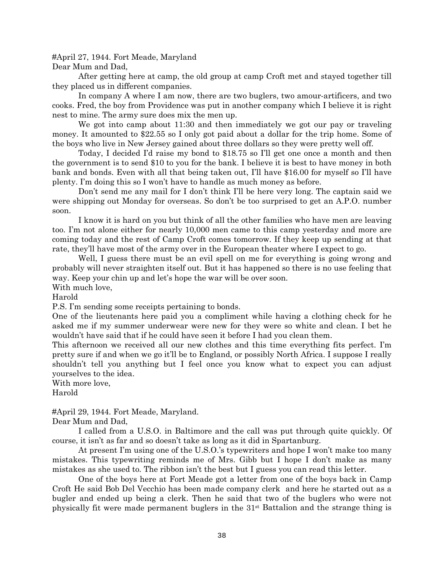#April 27, 1944. Fort Meade, Maryland

Dear Mum and Dad,

After getting here at camp, the old group at camp Croft met and stayed together till they placed us in different companies.

In company A where I am now, there are two buglers, two amour-artificers, and two cooks. Fred, the boy from Providence was put in another company which I believe it is right nest to mine. The army sure does mix the men up.

We got into camp about 11:30 and then immediately we got our pay or traveling money. It amounted to \$22.55 so I only got paid about a dollar for the trip home. Some of the boys who live in New Jersey gained about three dollars so they were pretty well off.

Today, I decided I'd raise my bond to \$18.75 so I'll get one once a month and then the government is to send \$10 to you for the bank. I believe it is best to have money in both bank and bonds. Even with all that being taken out, I'll have \$16.00 for myself so I'll have plenty. I'm doing this so I won't have to handle as much money as before.

Don't send me any mail for I don't think I'll be here very long. The captain said we were shipping out Monday for overseas. So don't be too surprised to get an A.P.O. number soon.

I know it is hard on you but think of all the other families who have men are leaving too. I'm not alone either for nearly 10,000 men came to this camp yesterday and more are coming today and the rest of Camp Croft comes tomorrow. If they keep up sending at that rate, they'll have most of the army over in the European theater where I expect to go.

Well, I guess there must be an evil spell on me for everything is going wrong and probably will never straighten itself out. But it has happened so there is no use feeling that way. Keep your chin up and let's hope the war will be over soon.

With much love,

Harold

P.S. I'm sending some receipts pertaining to bonds.

One of the lieutenants here paid you a compliment while having a clothing check for he asked me if my summer underwear were new for they were so white and clean. I bet he wouldn't have said that if he could have seen it before I had you clean them.

This afternoon we received all our new clothes and this time everything fits perfect. I'm pretty sure if and when we go it'll be to England, or possibly North Africa. I suppose I really shouldn't tell you anything but I feel once you know what to expect you can adjust yourselves to the idea.

With more love,

Harold

#April 29, 1944. Fort Meade, Maryland.

Dear Mum and Dad,

I called from a U.S.O. in Baltimore and the call was put through quite quickly. Of course, it isn't as far and so doesn't take as long as it did in Spartanburg.

At present I'm using one of the U.S.O.'s typewriters and hope I won't make too many mistakes. This typewriting reminds me of Mrs. Gibb but I hope I don't make as many mistakes as she used to. The ribbon isn't the best but I guess you can read this letter.

One of the boys here at Fort Meade got a letter from one of the boys back in Camp Croft He said Bob Del Vecchio has been made company clerk and here he started out as a bugler and ended up being a clerk. Then he said that two of the buglers who were not physically fit were made permanent buglers in the 31st Battalion and the strange thing is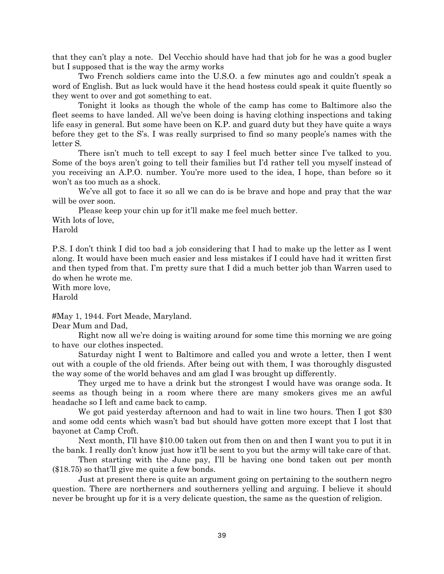that they can't play a note. Del Vecchio should have had that job for he was a good bugler but I supposed that is the way the army works

Two French soldiers came into the U.S.O. a few minutes ago and couldn't speak a word of English. But as luck would have it the head hostess could speak it quite fluently so they went to over and got something to eat.

Tonight it looks as though the whole of the camp has come to Baltimore also the fleet seems to have landed. All we've been doing is having clothing inspections and taking life easy in general. But some have been on K.P. and guard duty but they have quite a ways before they get to the S's. I was really surprised to find so many people's names with the letter S.

There isn't much to tell except to say I feel much better since I've talked to you. Some of the boys aren't going to tell their families but I'd rather tell you myself instead of you receiving an A.P.O. number. You're more used to the idea, I hope, than before so it won't as too much as a shock.

We've all got to face it so all we can do is be brave and hope and pray that the war will be over soon.

Please keep your chin up for it'll make me feel much better.

With lots of love,

Harold

P.S. I don't think I did too bad a job considering that I had to make up the letter as I went along. It would have been much easier and less mistakes if I could have had it written first and then typed from that. I'm pretty sure that I did a much better job than Warren used to do when he wrote me.

With more love, Harold

#May 1, 1944. Fort Meade, Maryland.

Dear Mum and Dad,

Right now all we're doing is waiting around for some time this morning we are going to have our clothes inspected.

Saturday night I went to Baltimore and called you and wrote a letter, then I went out with a couple of the old friends. After being out with them, I was thoroughly disgusted the way some of the world behaves and am glad I was brought up differently.

They urged me to have a drink but the strongest I would have was orange soda. It seems as though being in a room where there are many smokers gives me an awful headache so I left and came back to camp.

We got paid yesterday afternoon and had to wait in line two hours. Then I got \$30 and some odd cents which wasn't bad but should have gotten more except that I lost that bayonet at Camp Croft.

Next month, I'll have \$10.00 taken out from then on and then I want you to put it in the bank. I really don't know just how it'll be sent to you but the army will take care of that.

Then starting with the June pay, I'll be having one bond taken out per month (\$18.75) so that'll give me quite a few bonds.

Just at present there is quite an argument going on pertaining to the southern negro question. There are northerners and southerners yelling and arguing. I believe it should never be brought up for it is a very delicate question, the same as the question of religion.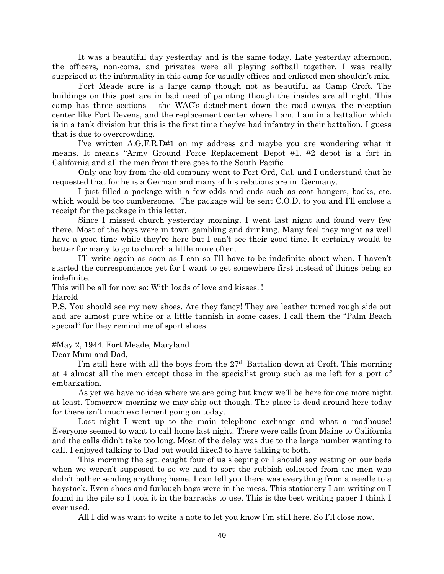It was a beautiful day yesterday and is the same today. Late yesterday afternoon, the officers, non-coms, and privates were all playing softball together. I was really surprised at the informality in this camp for usually offices and enlisted men shouldn't mix.

Fort Meade sure is a large camp though not as beautiful as Camp Croft. The buildings on this post are in bad need of painting though the insides are all right. This camp has three sections – the WAC's detachment down the road aways, the reception center like Fort Devens, and the replacement center where I am. I am in a battalion which is in a tank division but this is the first time they've had infantry in their battalion. I guess that is due to overcrowding.

I've written A.G.F.R.D#1 on my address and maybe you are wondering what it means. It means "Army Ground Force Replacement Depot #1. #2 depot is a fort in California and all the men from there goes to the South Pacific.

Only one boy from the old company went to Fort Ord, Cal. and I understand that he requested that for he is a German and many of his relations are in Germany.

I just filled a package with a few odds and ends such as coat hangers, books, etc. which would be too cumbersome. The package will be sent C.O.D. to you and I'll enclose a receipt for the package in this letter.

Since I missed church yesterday morning, I went last night and found very few there. Most of the boys were in town gambling and drinking. Many feel they might as well have a good time while they're here but I can't see their good time. It certainly would be better for many to go to church a little more often.

I'll write again as soon as I can so I'll have to be indefinite about when. I haven't started the correspondence yet for I want to get somewhere first instead of things being so indefinite.

This will be all for now so: With loads of love and kisses. ! Harold

P.S. You should see my new shoes. Are they fancy! They are leather turned rough side out and are almost pure white or a little tannish in some cases. I call them the "Palm Beach special" for they remind me of sport shoes.

#May 2, 1944. Fort Meade, Maryland

Dear Mum and Dad,

I'm still here with all the boys from the  $27<sup>th</sup>$  Battalion down at Croft. This morning at 4 almost all the men except those in the specialist group such as me left for a port of embarkation.

As yet we have no idea where we are going but know we'll be here for one more night at least. Tomorrow morning we may ship out though. The place is dead around here today for there isn't much excitement going on today.

Last night I went up to the main telephone exchange and what a madhouse! Everyone seemed to want to call home last night. There were calls from Maine to California and the calls didn't take too long. Most of the delay was due to the large number wanting to call. I enjoyed talking to Dad but would liked3 to have talking to both.

This morning the sgt. caught four of us sleeping or I should say resting on our beds when we weren't supposed to so we had to sort the rubbish collected from the men who didn't bother sending anything home. I can tell you there was everything from a needle to a haystack. Even shoes and furlough bags were in the mess. This stationery I am writing on I found in the pile so I took it in the barracks to use. This is the best writing paper I think I ever used.

All I did was want to write a note to let you know I'm still here. So I'll close now.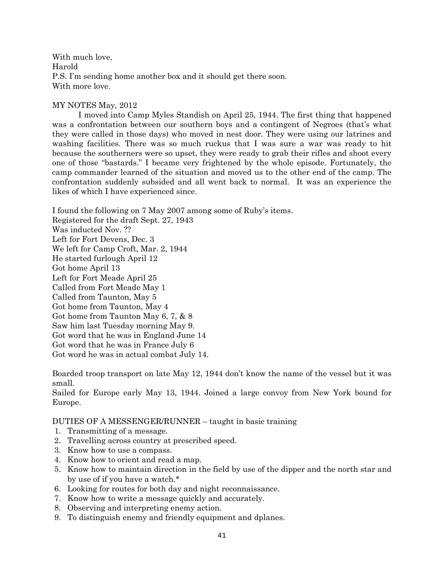With much love, Harold P.S. I'm sending home another box and it should get there soon. With more love.

## MY NOTES May, 2012

I moved into Camp Myles Standish on April 25, 1944. The first thing that happened was a confrontation between our southern boys and a contingent of Negroes (that's what they were called in those days) who moved in nest door. They were using our latrines and washing facilities. There was so much ruckus that I was sure a war was ready to hit because the southerners were so upset, they were ready to grab their rifles and shoot every one of those "bastards." I became very frightened by the whole episode. Fortunately, the camp commander learned of the situation and moved us to the other end of the camp. The confrontation suddenly subsided and all went back to normal. It was an experience the likes of which I have experienced since.

I found the following on 7 May 2007 among some of Ruby's items. Registered for the draft Sept. 27, 1943 Was inducted Nov. ?? Left for Fort Devens, Dec. 3 We left for Camp Croft, Mar. 2, 1944 He started furlough April 12 Got home April 13 Left for Fort Meade April 25 Called from Fort Meade May 1 Called from Taunton, May 5 Got home from Taunton, May 4 Got home from Taunton May 6, 7, & 8 Saw him last Tuesday morning May 9. Got word that he was in England June 14 Got word that he was in France July 6 Got word he was in actual combat July 14.

Boarded troop transport on late May 12, 1944 don't know the name of the vessel but it was small.

Sailed for Europe early May 13, 1944. Joined a large convoy from New York bound for Europe.

DUTIES OF A MESSENGER/RUNNER – taught in basic training

- 1. Transmitting of a message.
- 2. Travelling across country at prescribed speed.
- 3. Know how to use a compass.
- 4. Know how to orient and read a map.
- 5. Know how to maintain direction in the field by use of the dipper and the north star and by use of if you have a watch.\*
- 6. Looking for routes for both day and night reconnaissance.
- 7. Know how to write a message quickly and accurately.
- 8. Observing and interpreting enemy action.
- 9. To distinguish enemy and friendly equipment and dplanes.